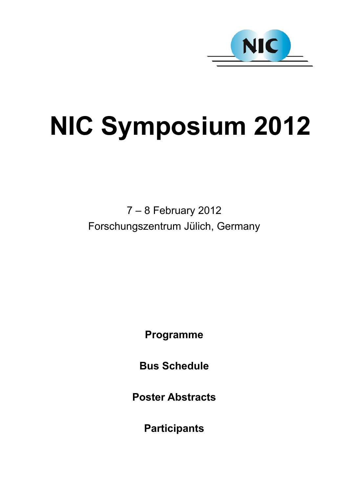

# **NIC Symposium 2012**

7 – 8 February 2012 Forschungszentrum Jülich, Germany

**Programme**

**Bus Schedule**

**Poster Abstracts**

**Participants**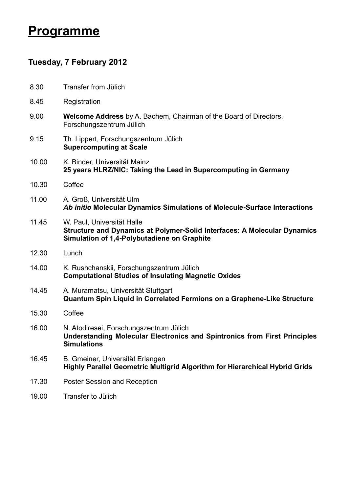## **Programme**

#### **Tuesday, 7 February 2012**

- 8.30 Transfer from Jülich
- 8.45 Registration
- 9.00 **Welcome Address** by A. Bachem, Chairman of the Board of Directors, Forschungszentrum Jülich
- 9.15 Th. Lippert, Forschungszentrum Jülich **Supercomputing at Scale**
- 10.00 K. Binder, Universität Mainz **25 years HLRZ/NIC: Taking the Lead in Supercomputing in Germany**
- 10.30 Coffee
- 11.00 A. Groß, Universität Ulm *Ab initio* **Molecular Dynamics Simulations of Molecule-Surface Interactions**
- 11.45 W. Paul, Universität Halle **Structure and Dynamics at Polymer-Solid Interfaces: A Molecular Dynamics Simulation of 1,4-Polybutadiene on Graphite**
- 12.30 Lunch
- 14.00 K. Rushchanskii, Forschungszentrum Jülich **Computational Studies of Insulating Magnetic Oxides**
- 14.45 A. Muramatsu, Universität Stuttgart **Quantum Spin Liquid in Correlated Fermions on a Graphene-Like Structure**
- 15.30 Coffee
- 16.00 N. Atodiresei, Forschungszentrum Jülich **Understanding Molecular Electronics and Spintronics from First Principles Simulations**
- 16.45 B. Gmeiner, Universität Erlangen **Highly Parallel Geometric Multigrid Algorithm for Hierarchical Hybrid Grids**
- 17.30 Poster Session and Reception
- 19.00 Transfer to Jülich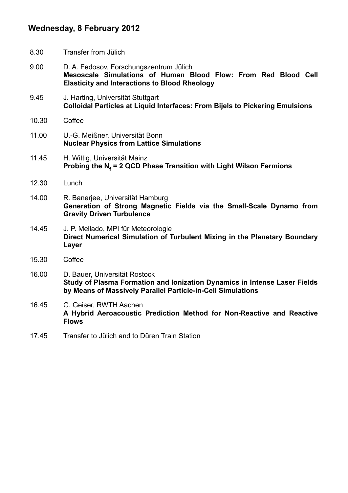#### **Wednesday, 8 February 2012**

- 8.30 Transfer from Jülich
- 9.00 D. A. Fedosov, Forschungszentrum Jülich **Mesoscale Simulations of Human Blood Flow: From Red Blood Cell Elasticity and Interactions to Blood Rheology**
- 9.45 J. Harting, Universität Stuttgart **Colloidal Particles at Liquid Interfaces: From Bijels to Pickering Emulsions**
- 10.30 Coffee
- 11.00 U.-G. Meißner, Universität Bonn **Nuclear Physics from Lattice Simulations**
- 11.45 H. Wittig, Universität Mainz **Probing the N<sup>f</sup> = 2 QCD Phase Transition with Light Wilson Fermions**
- 12.30 Lunch
- 14.00 R. Banerjee, Universität Hamburg **Generation of Strong Magnetic Fields via the Small-Scale Dynamo from Gravity Driven Turbulence**
- 14.45 J. P. Mellado, MPI für Meteorologie **Direct Numerical Simulation of Turbulent Mixing in the Planetary Boundary Layer**
- 15.30 Coffee

16.00 D. Bauer, Universität Rostock **Study of Plasma Formation and Ionization Dynamics in Intense Laser Fields by Means of Massively Parallel Particle-in-Cell Simulations**

- 16.45 G. Geiser, RWTH Aachen **A Hybrid Aeroacoustic Prediction Method for Non-Reactive and Reactive Flows**
- 17.45 Transfer to Jülich and to Düren Train Station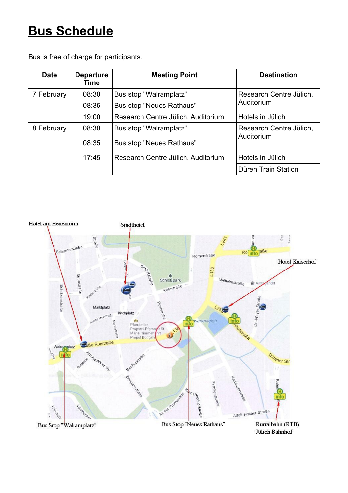# **Bus Schedule**

| <b>Date</b> | <b>Departure</b><br>Time | <b>Meeting Point</b>               | <b>Destination</b>                    |
|-------------|--------------------------|------------------------------------|---------------------------------------|
| 7 February  | 08:30                    | Bus stop "Walramplatz"             | Research Centre Jülich,               |
|             | 08:35                    | <b>Bus stop "Neues Rathaus"</b>    | Auditorium                            |
|             | 19:00                    | Research Centre Jülich, Auditorium | Hotels in Jülich                      |
| 8 February  | 08:30                    | Bus stop "Walramplatz"             | Research Centre Jülich,<br>Auditorium |
|             | 08:35                    | <b>Bus stop "Neues Rathaus"</b>    |                                       |
|             | 17:45                    | Research Centre Jülich, Auditorium | Hotels in Jülich                      |
|             |                          |                                    | Düren Train Station                   |

Bus is free of charge for participants.

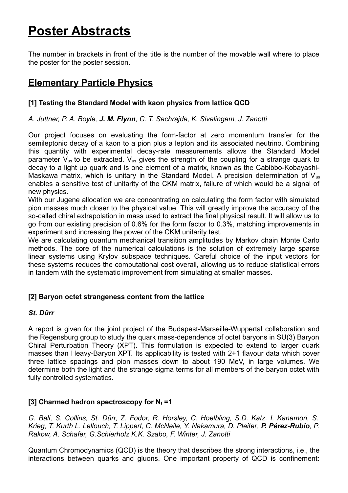# **Poster Abstracts**

The number in brackets in front of the title is the number of the movable wall where to place the poster for the poster session.

## **Elementary Particle Physics**

#### **[1] Testing the Standard Model with kaon physics from lattice QCD**

*A. Juttner, P. A. Boyle, J. M. Flynn, C. T. Sachrajda, K. Sivalingam, J. Zanotti*

Our project focuses on evaluating the form-factor at zero momentum transfer for the semileptonic decay of a kaon to a pion plus a lepton and its associated neutrino. Combining this quantity with experimental decay-rate measurements allows the Standard Model parameter Vus to be extracted. Vus gives the strength of the coupling for a strange quark to decay to a light up quark and is one element of a matrix, known as the Cabibbo-Kobayashi-Maskawa matrix, which is unitary in the Standard Model. A precision determination of  $V_{us}$ enables a sensitive test of unitarity of the CKM matrix, failure of which would be a signal of new physics.

With our Jugene allocation we are concentrating on calculating the form factor with simulated pion masses much closer to the physical value. This will greatly improve the accuracy of the so-called chiral extrapolation in mass used to extract the final physical result. It will allow us to go from our existing precision of 0.6% for the form factor to 0.3%, matching improvements in experiment and increasing the power of the CKM unitarity test.

We are calculating quantum mechanical transition amplitudes by Markov chain Monte Carlo methods. The core of the numerical calculations is the solution of extremely large sparse linear systems using Krylov subspace techniques. Careful choice of the input vectors for these systems reduces the computational cost overall, allowing us to reduce statistical errors in tandem with the systematic improvement from simulating at smaller masses.

#### **[2] Baryon octet strangeness content from the lattice**

#### *St. Dürr*

A report is given for the joint project of the Budapest-Marseille-Wuppertal collaboration and the Regensburg group to study the quark mass-dependence of octet baryons in SU(3) Baryon Chiral Perturbation Theory (XPT). This formulation is expected to extend to larger quark masses than Heavy-Baryon XPT. Its applicability is tested with 2+1 flavour data which cover three lattice spacings and pion masses down to about 190 MeV, in large volumes. We determine both the light and the strange sigma terms for all members of the baryon octet with fully controlled systematics.

#### **[3] Charmed hadron spectroscopy for Nf =1**

*G. Bali, S. Collins, St. Dürr, Z. Fodor, R. Horsley, C. Hoelbling, S.D. Katz, I. Kanamori, S. Krieg, T. Kurth L. Lellouch, T. Lippert, C. McNeile, Y. Nakamura, D. Pleiter, P. Pérez-Rubio, P. Rakow, A. Schafer, G.Schierholz K.K. Szabo, F. Winter, J. Zanotti*

Quantum Chromodynamics (QCD) is the theory that describes the strong interactions, i.e., the interactions between quarks and gluons. One important property of QCD is confinement: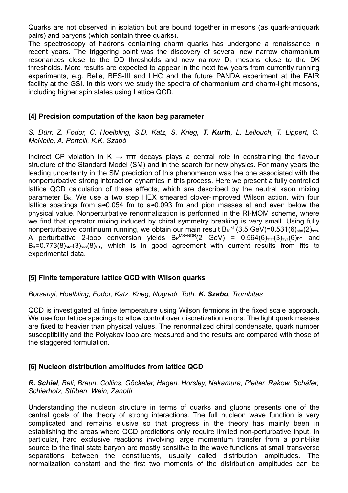Quarks are not observed in isolation but are bound together in mesons (as quark-antiquark pairs) and baryons (which contain three quarks).

The spectroscopy of hadrons containing charm quarks has undergone a renaissance in recent years. The triggering point was the discovery of several new narrow charmonium resonances close to the  $D\overline{D}$  thresholds and new narrow  $D_s$  mesons close to the DK thresholds. More results are expected to appear in the next few years from currently running experiments, e.g. Belle, BES-III and LHC and the future PANDA experiment at the FAIR facility at the GSI. In this work we study the spectra of charmonium and charm-light mesons, including higher spin states using Lattice QCD.

#### **[4] Precision computation of the kaon bag parameter**

*S. Dürr, Z. Fodor, C. Hoelbling, S.D. Katz, S. Krieg, T. Kurth, L. Lellouch, T. Lippert, C. McNeile, A. Portelli, K.K. Szabó*

Indirect CP violation in  $K \to \pi \pi$  decays plays a central role in constraining the flavour structure of the Standard Model (SM) and in the search for new physics. For many years the leading uncertainty in the SM prediction of this phenomenon was the one associated with the nonperturbative strong interaction dynamics in this process. Here we present a fully controlled lattice QCD calculation of these effects, which are described by the neutral kaon mixing parameter  $B_{K}$ . We use a two step HEX smeared clover-improved Wilson action, with four lattice spacings from a≈0.054 fm to a≈0.093 fm and pion masses at and even below the physical value. Nonperturbative renormalization is performed in the RI-MOM scheme, where we find that operator mixing induced by chiral symmetry breaking is very small. Using fully nonperturbative continuum running, we obtain our main result  $B_K^{R1}$  (3.5 GeV)=0.531(6)<sub>stat</sub>(2)<sub>sys</sub>. A perturbative 2-loop conversion yields  $B_{K}^{\text{MS-NDR}}(2 \text{ GeV}) = 0.564(6)_{stat}(3)_{sys}(6)_{PT}$  and  $B_K$ =0.773(8)<sub>stat</sub>(3)<sub>sys</sub>(8)<sub>PT</sub>, which is in good agreement with current results from fits to experimental data.

#### **[5] Finite temperature lattice QCD with Wilson quarks**

*Borsanyi, Hoelbling, Fodor, Katz, Krieg, Nogradi, Toth, K. Szabo, Trombitas*

QCD is investigated at finite temperature using Wilson fermions in the fixed scale approach. We use four lattice spacings to allow control over discretization errors. The light quark masses are fixed to heavier than physical values. The renormalized chiral condensate, quark number susceptibility and the Polyakov loop are measured and the results are compared with those of the staggered formulation.

#### **[6] Nucleon distribution amplitudes from lattice QCD**

#### *R. Schiel, Bali, Braun, Collins, Göckeler, Hagen, Horsley, Nakamura, Pleiter, Rakow, Schäfer, Schierholz, Stüben, Wein, Zanotti*

Understanding the nucleon structure in terms of quarks and gluons presents one of the central goals of the theory of strong interactions. The full nucleon wave function is very complicated and remains elusive so that progress in the theory has mainly been in establishing the areas where QCD predictions only require limited non-perturbative input. In particular, hard exclusive reactions involving large momentum transfer from a point-like source to the final state baryon are mostly sensitive to the wave functions at small transverse separations between the constituents, usually called distribution amplitudes. The normalization constant and the first two moments of the distribution amplitudes can be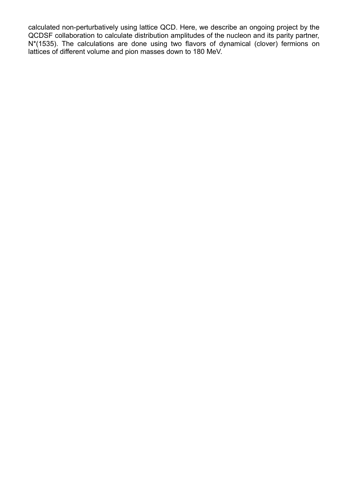calculated non-perturbatively using lattice QCD. Here, we describe an ongoing project by the QCDSF collaboration to calculate distribution amplitudes of the nucleon and its parity partner, N\*(1535). The calculations are done using two flavors of dynamical (clover) fermions on lattices of different volume and pion masses down to 180 MeV.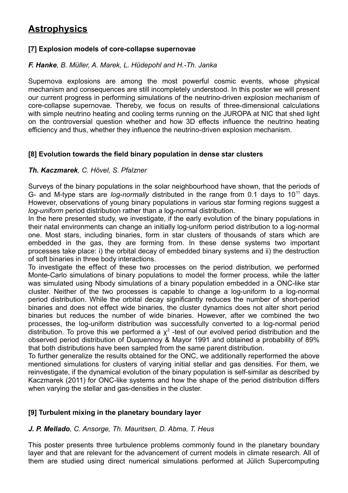## **Astrophysics**

#### **[7] Explosion models of core-collapse supernovae**

#### *F. Hanke, B. Müller, A. Marek, L. Hüdepohl and H.-Th. Janka*

Supernova explosions are among the most powerful cosmic events, whose physical mechanism and consequences are still incompletely understood. In this poster we will present our current progress in performing simulations of the neutrino-driven explosion mechanism of core-collapse supernovae. Thereby, we focus on results of three-dimensional calculations with simple neutrino heating and cooling terms running on the JUROPA at NIC that shed light on the controversial question whether and how 3D effects influence the neutrino heating efficiency and thus, whether they influence the neutrino-driven explosion mechanism.

#### **[8] Evolution towards the field binary population in dense star clusters**

#### *Th. Kaczmarek, C. Hövel, S. Pfalzner*

Surveys of the binary populations in the solar neighbourhood have shown, that the periods of G- and M-type stars are *log-normally* distributed in the range from 0.1 days to 10<sup>11</sup> days. However, observations of young binary populations in various star forming regions suggest a *log-uniform* period distribution rather than a log-normal distribution.

In the here presented study, we investigate, if the early evolution of the binary populations in their natal environments can change an initially log-uniform period distribution to a log-normal one. Most stars, including binaries, form in star clusters of thousands of stars which are embedded in the gas, they are forming from. In these dense systems two important processes take place: i) the orbital decay of embedded binary systems and ii) the destruction of soft binaries in three body interactions.

To investigate the effect of these two processes on the period distribution, we performed Monte-Carlo simulations of binary populations to model the former process, while the latter was simulated using Nbody simulations of a binary population embedded in a ONC-like star cluster. Neither of the two processes is capable to change a log-uniform to a log-normal period distribution. While the orbital decay significantly reduces the number of short-period binaries and does not effect wide binaries, the cluster dynamics does not alter short period binaries but reduces the number of wide binaries. However, after we combined the two processes, the log-uniform distribution was successfully converted to a log-normal period distribution. To prove this we performed a  $\chi^2$ -test of our evolved period distribution and the observed period distribution of Duquennoy & Mayor 1991 and obtained a probability of 89% that both distributions have been sampled from the same parent distribution.

To further generalize the results obtained for the ONC, we additionally reperformed the above mentioned simulations for clusters of varying initial stellar and gas densities. For them, we reinvestigate, if the dynamical evolution of the binary population is self-similar as described by Kaczmarek (2011) for ONC-like systems and how the shape of the period distribution differs when varying the stellar and gas-densities in the cluster.

#### **[9] Turbulent mixing in the planetary boundary layer**

#### *J. P. Mellado, C. Ansorge, Th. Mauritsen, D. Abma, T. Heus*

This poster presents three turbulence problems commonly found in the planetary boundary layer and that are relevant for the advancement of current models in climate research. All of them are studied using direct numerical simulations performed at Jülich Supercomputing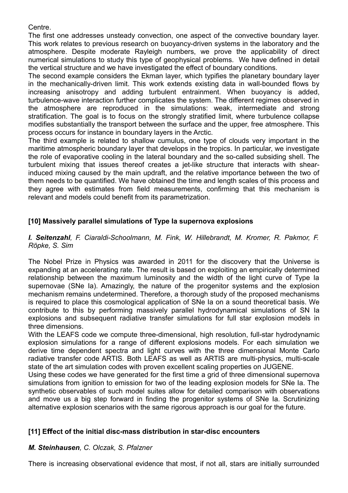Centre.

The first one addresses unsteady convection, one aspect of the convective boundary layer. This work relates to previous research on buoyancy-driven systems in the laboratory and the atmosphere. Despite moderate Rayleigh numbers, we prove the applicability of direct numerical simulations to study this type of geophysical problems. We have defined in detail the vertical structure and we have investigated the effect of boundary conditions.

The second example considers the Ekman layer, which typifies the planetary boundary layer in the mechanically-driven limit. This work extends existing data in wall-bounded flows by increasing anisotropy and adding turbulent entrainment. When buoyancy is added, turbulence-wave interaction further complicates the system. The different regimes observed in the atmosphere are reproduced in the simulations: weak, intermediate and strong stratification. The goal is to focus on the strongly stratified limit, where turbulence collapse modifies substantially the transport between the surface and the upper, free atmosphere. This process occurs for instance in boundary layers in the Arctic.

The third example is related to shallow cumulus, one type of clouds very important in the maritime atmospheric boundary layer that develops in the tropics. In particular, we investigate the role of evaporative cooling in the lateral boundary and the so-called subsiding shell. The turbulent mixing that issues thereof creates a jet-like structure that interacts with shearinduced mixing caused by the main updraft, and the relative importance between the two of them needs to be quantified. We have obtained the time and length scales of this process and they agree with estimates from field measurements, confirming that this mechanism is relevant and models could benefit from its parametrization.

#### **[10] Massively parallel simulations of Type Ia supernova explosions**

#### *I. Seitenzahl, F. Ciaraldi-Schoolmann, M. Fink, W. Hillebrandt, M. Kromer, R. Pakmor, F. Röpke, S. Sim*

The Nobel Prize in Physics was awarded in 2011 for the discovery that the Universe is expanding at an accelerating rate. The result is based on exploiting an empirically determined relationship between the maximum luminosity and the width of the light curve of Type Ia supernovae (SNe Ia). Amazingly, the nature of the progenitor systems and the explosion mechanism remains undetermined. Therefore, a thorough study of the proposed mechanisms is required to place this cosmological application of SNe Ia on a sound theoretical basis. We contribute to this by performing massively parallel hydrodynamical simulations of SN Ia explosions and subsequent radiative transfer simulations for full star explosion models in three dimensions.

With the LEAFS code we compute three-dimensional, high resolution, full-star hydrodynamic explosion simulations for a range of different explosions models. For each simulation we derive time dependent spectra and light curves with the three dimensional Monte Carlo radiative transfer code ARTIS. Both LEAFS as well as ARTIS are multi-physics, multi-scale state of the art simulation codes with proven excellent scaling properties on JUGENE.

Using these codes we have generated for the first time a grid of three dimensional supernova simulations from ignition to emission for two of the leading explosion models for SNe Ia. The synthetic observables of such model suites allow for detailed comparison with observations and move us a big step forward in finding the progenitor systems of SNe Ia. Scrutinizing alternative explosion scenarios with the same rigorous approach is our goal for the future.

#### [11] Effect of the initial disc-mass distribution in star-disc encounters

#### *M. Steinhausen, C. Olczak, S. Pfalzner*

There is increasing observational evidence that most, if not all, stars are initially surrounded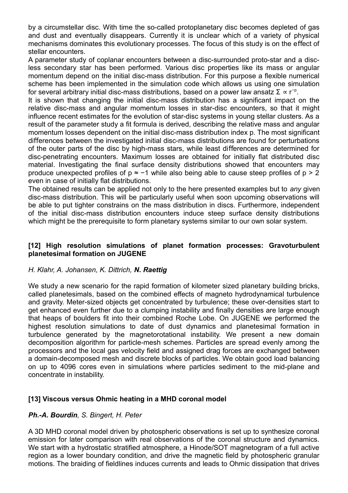by a circumstellar disc. With time the so-called protoplanetary disc becomes depleted of gas and dust and eventually disappears. Currently it is unclear which of a variety of physical mechanisms dominates this evolutionary processes. The focus of this study is on the effect of stellar encounters.

A parameter study of coplanar encounters between a disc-surrounded proto-star and a discless secondary star has been performed. Various disc properties like its mass or angular momentum depend on the initial disc-mass distribution. For this purpose a flexible numerical scheme has been implemented in the simulation code which allows us using one simulation for several arbitrary initial disc-mass distributions, based on a power law ansatz  $\Sigma \propto r^{-p}$ .

It is shown that changing the initial disc-mass distribution has a significant impact on the relative disc-mass and angular momentum losses in star-disc encounters, so that it might influence recent estimates for the evolution of star-disc systems in young stellar clusters. As a result of the parameter study a fit formula is derived, describing the relative mass and angular momentum losses dependent on the initial disc-mass distribution index p. The most significant differences between the investigated initial disc-mass distributions are found for perturbations of the outer parts of the disc by high-mass stars, while least differences are determined for disc-penetrating encounters. Maximum losses are obtained for initially flat distributed disc material. Investigating the final surface density distributions showed that encounters may produce unexpected profiles of p ≈ −1 while also being able to cause steep profiles of p > 2 even in case of initially flat distributions.

The obtained results can be applied not only to the here presented examples but to *any* given disc-mass distribution. This will be particularly useful when soon upcoming observations will be able to put tighter constrains on the mass distribution in discs. Furthermore, independent of the initial disc-mass distribution encounters induce steep surface density distributions which might be the prerequisite to form planetary systems similar to our own solar system.

#### **[12] High resolution simulations of planet formation processes: Gravoturbulent planetesimal formation on JUGENE**

#### *H. Klahr, A. Johansen, K. Dittrich, N. Raettig*

We study a new scenario for the rapid formation of kilometer sized planetary building bricks, called planetesimals, based on the combined effects of magneto hydrodynamical turbulence and gravity. Meter-sized objects get concentrated by turbulence; these over-densities start to get enhanced even further due to a clumping instability and finally densities are large enough that heaps of boulders fit into their combined Roche Lobe. On JUGENE we performed the highest resolution simulations to date of dust dynamics and planetesimal formation in turbulence generated by the magnetorotational instability. We present a new domain decomposition algorithm for particle-mesh schemes. Particles are spread evenly among the processors and the local gas velocity field and assigned drag forces are exchanged between a domain-decomposed mesh and discrete blocks of particles. We obtain good load balancing on up to 4096 cores even in simulations where particles sediment to the mid-plane and concentrate in instability.

#### **[13] Viscous versus Ohmic heating in a MHD coronal model**

#### *Ph.-A. Bourdin, S. Bingert, H. Peter*

A 3D MHD coronal model driven by photospheric observations is set up to synthesize coronal emission for later comparison with real observations of the coronal structure and dynamics. We start with a hydrostatic stratified atmosphere, a Hinode/SOT magnetogram of a full active region as a lower boundary condition, and drive the magnetic field by photospheric granular motions. The braiding of fieldlines induces currents and leads to Ohmic dissipation that drives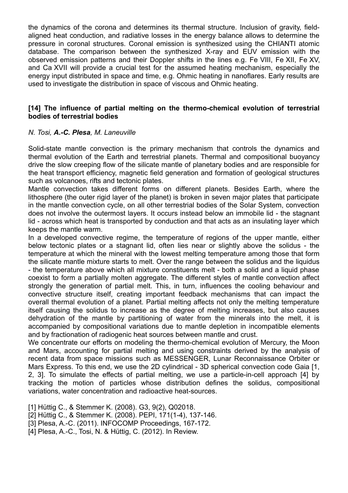the dynamics of the corona and determines its thermal structure. Inclusion of gravity, fieldaligned heat conduction, and radiative losses in the energy balance allows to determine the pressure in coronal structures. Coronal emission is synthesized using the CHIANTI atomic database. The comparison between the synthesized X-ray and EUV emission with the observed emission patterns and their Doppler shifts in the lines e.g. Fe VIII, Fe XII, Fe XV, and Ca XVII will provide a crucial test for the assumed heating mechanism, especially the energy input distributed in space and time, e.g. Ohmic heating in nanoflares. Early results are used to investigate the distribution in space of viscous and Ohmic heating.

#### **[14] The influence of partial melting on the thermo-chemical evolution of terrestrial bodies of terrestrial bodies**

#### *N. Tosi, A.-C. Plesa, M. Laneuville*

Solid-state mantle convection is the primary mechanism that controls the dynamics and thermal evolution of the Earth and terrestrial planets. Thermal and compositional buoyancy drive the slow creeping flow of the silicate mantle of planetary bodies and are responsible for the heat transport efficiency, magnetic field generation and formation of geological structures such as volcanoes, rifts and tectonic plates.

Mantle convection takes different forms on different planets. Besides Earth, where the lithosphere (the outer rigid layer of the planet) is broken in seven major plates that participate in the mantle convection cycle, on all other terrestrial bodies of the Solar System, convection does not involve the outermost layers. It occurs instead below an immobile lid - the stagnant lid - across which heat is transported by conduction and that acts as an insulating layer which keeps the mantle warm.

In a developed convective regime, the temperature of regions of the upper mantle, either below tectonic plates or a stagnant lid, often lies near or slightly above the solidus - the temperature at which the mineral with the lowest melting temperature among those that form the silicate mantle mixture starts to melt. Over the range between the solidus and the liquidus - the temperature above which all mixture constituents melt - both a solid and a liquid phase coexist to form a partially molten aggregate. The different styles of mantle convection affect strongly the generation of partial melt. This, in turn, influences the cooling behaviour and convective structure itself, creating important feedback mechanisms that can impact the overall thermal evolution of a planet. Partial melting affects not only the melting temperature itself causing the solidus to increase as the degree of melting increases, but also causes dehydration of the mantle by partitioning of water from the minerals into the melt, it is accompanied by compositional variations due to mantle depletion in incompatible elements and by fractionation of radiogenic heat sources between mantle and crust.

We concentrate our efforts on modeling the thermo-chemical evolution of Mercury, the Moon and Mars, accounting for partial melting and using constraints derived by the analysis of recent data from space missions such as MESSENGER, Lunar Reconnaissance Orbiter or Mars Express. To this end, we use the 2D cylindrical - 3D spherical convection code Gaia [1, 2, 3]. To simulate the effects of partial melting, we use a particle-in-cell approach [4] by tracking the motion of particles whose distribution defines the solidus, compositional variations, water concentration and radioactive heat-sources.

- [1] Hüttig C., & Stemmer K. (2008). G3, 9(2), Q02018.
- [2] Hüttig C., & Stemmer K. (2008). PEPI, 171(1-4), 137-146.
- [3] Plesa, A.-C. (2011). INFOCOMP Proceedings, 167-172.
- [4] Plesa, A.-C., Tosi, N. & Hüttig, C. (2012). In Review.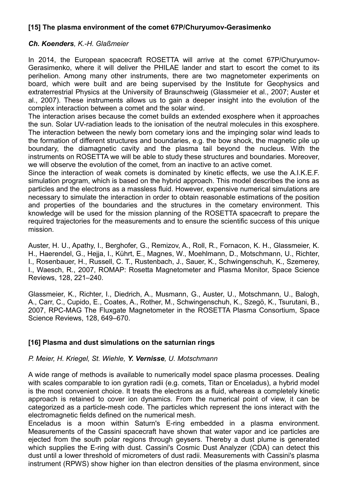#### **[15] The plasma environment of the comet 67P/Churyumov-Gerasimenko**

#### *Ch. Koenders, K.-H. Glaßmeier*

In 2014, the European spacecraft ROSETTA will arrive at the comet 67P/Churyumov-Gerasimenko, where it will deliver the PHILAE lander and start to escort the comet to its perihelion. Among many other instruments, there are two magnetometer experiments on board, which were built and are being supervised by the Institute for Geophysics and extraterrestrial Physics at the University of Braunschweig (Glassmeier et al., 2007; Auster et al., 2007). These instruments allows us to gain a deeper insight into the evolution of the complex interaction between a comet and the solar wind.

The interaction arises because the comet builds an extended exosphere when it approaches the sun. Solar UV-radiation leads to the ionisation of the neutral molecules in this exosphere. The interaction between the newly born cometary ions and the impinging solar wind leads to the formation of different structures and boundaries, e.g. the bow shock, the magnetic pile up boundary, the diamagnetic cavity and the plasma tail beyond the nucleus. With the instruments on ROSETTA we will be able to study these structures and boundaries. Moreover, we will observe the evolution of the comet, from an inactive to an active comet.

Since the interaction of weak comets is dominated by kinetic effects, we use the A.I.K.E.F. simulation program, which is based on the hybrid approach. This model describes the ions as particles and the electrons as a massless fluid. However, expensive numerical simulations are necessary to simulate the interaction in order to obtain reasonable estimations of the position and properties of the boundaries and the structures in the cometary environment. This knowledge will be used for the mission planning of the ROSETTA spacecraft to prepare the required trajectories for the measurements and to ensure the scientific success of this unique mission.

Auster, H. U., Apathy, I., Berghofer, G., Remizov, A., Roll, R., Fornacon, K. H., Glassmeier, K. H., Haerendel, G., Hejja, I., Kührt, E., Magnes, W., Moehlmann, D., Motschmann, U., Richter, I., Rosenbauer, H., Russell, C. T., Rustenbach, J., Sauer, K., Schwingenschuh, K., Szemerey, I., Waesch, R., 2007, ROMAP: Rosetta Magnetometer and Plasma Monitor, Space Science Reviews, 128, 221–240.

Glassmeier, K., Richter, I., Diedrich, A., Musmann, G., Auster, U., Motschmann, U., Balogh, A., Carr, C., Cupido, E., Coates, A., Rother, M., Schwingenschuh, K., Szegö, K., Tsurutani, B., 2007, RPC-MAG The Fluxgate Magnetometer in the ROSETTA Plasma Consortium, Space Science Reviews, 128, 649–670.

#### **[16] Plasma and dust simulations on the saturnian rings**

#### *P. Meier, H. Kriegel, St. Wiehle, Y. Vernisse, U. Motschmann*

A wide range of methods is available to numerically model space plasma processes. Dealing with scales comparable to ion gyration radii (e.g. comets, Titan or Enceladus), a hybrid model is the most convenient choice. It treats the electrons as a fluid, whereas a completely kinetic approach is retained to cover ion dynamics. From the numerical point of view, it can be categorized as a particle-mesh code. The particles which represent the ions interact with the electromagnetic fields defined on the numerical mesh.

Enceladus is a moon within Saturn's E-ring embedded in a plasma environment. Measurements of the Cassini spacecraft have shown that water vapor and ice particles are ejected from the south polar regions through geysers. Thereby a dust plume is generated which supplies the E-ring with dust. Cassini's Cosmic Dust Analyzer (CDA) can detect this dust until a lower threshold of micrometers of dust radii. Measurements with Cassini's plasma instrument (RPWS) show higher ion than electron densities of the plasma environment, since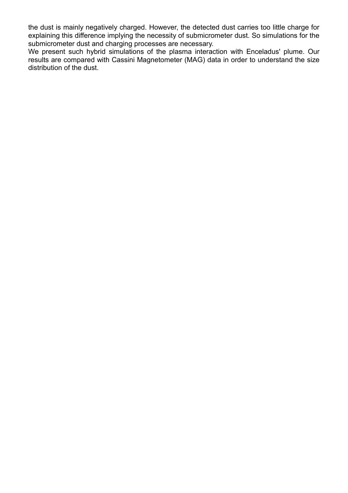the dust is mainly negatively charged. However, the detected dust carries too little charge for explaining this difference implying the necessity of submicrometer dust. So simulations for the submicrometer dust and charging processes are necessary.

We present such hybrid simulations of the plasma interaction with Enceladus' plume. Our results are compared with Cassini Magnetometer (MAG) data in order to understand the size distribution of the dust.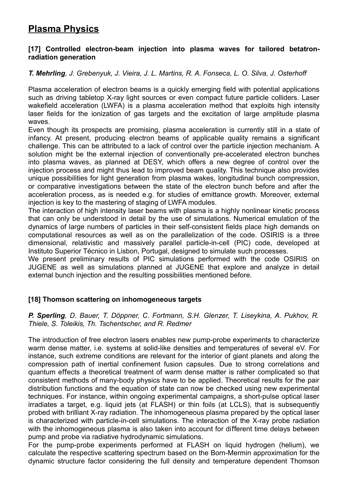## **Plasma Physics**

#### **[17] Controlled electron-beam injection into plasma waves for tailored betatronradiation generation**

#### *T. Mehrling, J. Grebenyuk, J. Vieira, J. L. Martins, R. A. Fonseca, L. O. Silva, J. Osterhoff*

Plasma acceleration of electron beams is a quickly emerging field with potential applications such as driving tabletop X-ray light sources or even compact future particle colliders. Laser wakefield acceleration (LWFA) is a plasma acceleration method that exploits high intensity laser fields for the ionization of gas targets and the excitation of large amplitude plasma waves.

Even though its prospects are promising, plasma acceleration is currently still in a state of infancy. At present, producing electron beams of applicable quality remains a significant challenge. This can be attributed to a lack of control over the particle injection mechanism. A solution might be the external injection of conventionally pre-accelerated electron bunches into plasma waves, as planned at DESY, which offers a new degree of control over the injection process and might thus lead to improved beam quality. This technique also provides unique possibilities for light generation from plasma wakes, longitudinal bunch compression, or comparative investigations between the state of the electron bunch before and after the acceleration process, as is needed e.g. for studies of emittance growth. Moreover, external injection is key to the mastering of staging of LWFA modules.

The interaction of high intensity laser beams with plasma is a highly nonlinear kinetic process that can only be understood in detail by the use of simulations. Numerical emulation of the dynamics of large numbers of particles in their self-consistent fields place high demands on computational resources as well as on the parallelization of the code. OSIRIS is a three dimensional, relativistic and massively parallel particle-in-cell (PIC) code, developed at Instituto Superior Técnico in Lisbon, Portugal, designed to simulate such processes.

We present preliminary results of PIC simulations performed with the code OSIRIS on JUGENE as well as simulations planned at JUGENE that explore and analyze in detail external bunch injection and the resulting possibilities mentioned before.

#### **[18] Thomson scattering on inhomogeneous targets**

*P. Sperling, D. Bauer, T. Döppner, C. Fortmann, S.H. Glenzer, T. Liseykina, A. Pukhov, R. Thiele, S. Toleikis, Th. Tschentscher, and R. Redmer*

The introduction of free electron lasers enables new pump-probe experiments to characterize warm dense matter, i.e. systems at solid-like densities and temperatures of several eV. For instance, such extreme conditions are relevant for the interior of giant planets and along the compression path of inertial confinement fusion capsules. Due to strong correlations and quantum effects a theoretical treatment of warm dense matter is rather complicated so that consistent methods of many-body physics have to be applied. Theoretical results for the pair distribution functions and the equation of state can now be checked using new experimental techniques. For instance, within ongoing experimental campaigns, a short-pulse optical laser irradiates a target, e.g. liquid jets (at FLASH) or thin foils (at LCLS), that is subsequently probed with brilliant X-ray radiation. The inhomogeneous plasma prepared by the optical laser is characterized with particle-in-cell simulations. The interaction of the X-ray probe radiation with the inhomogeneous plasma is also taken into account for different time delays between pump and probe via radiative hydrodynamic simulations.

For the pump-probe experiments performed at FLASH on liquid hydrogen (helium), we calculate the respective scattering spectrum based on the Born-Mermin approximation for the dynamic structure factor considering the full density and temperature dependent Thomson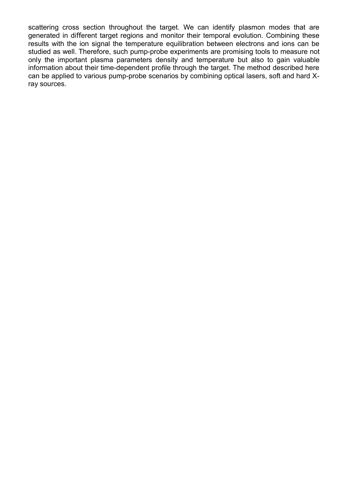scattering cross section throughout the target. We can identify plasmon modes that are generated in different target regions and monitor their temporal evolution. Combining these results with the ion signal the temperature equilibration between electrons and ions can be studied as well. Therefore, such pump-probe experiments are promising tools to measure not only the important plasma parameters density and temperature but also to gain valuable information about their time-dependent profile through the target. The method described here can be applied to various pump-probe scenarios by combining optical lasers, soft and hard Xray sources.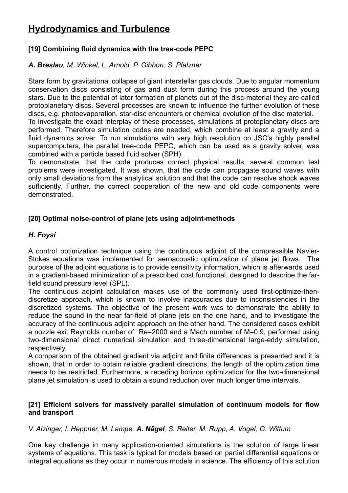## **Hydrodynamics and Turbulence**

#### **[19] Combining fluid dynamics with the tree-code PEPC**

#### *A. Breslau, M. Winkel, L. Arnold, P. Gibbon, S. Pfalzner*

Stars form by gravitational collapse of giant interstellar gas clouds. Due to angular momentum conservation discs consisting of gas and dust form during this process around the young stars. Due to the potential of later formation of planets out of the disc-material they are called protoplanetary discs. Several processes are known to influence the further evolution of these discs, e.g. photoevaporation, star-disc encounters or chemical evolution of the disc material.

To investigate the exact interplay of these processes, simulations of protoplanetary discs are performed. Therefore simulation codes are needed, which combine at least a gravity and a fluid dynamics solver. To run simulations with very high resolution on JSC's highly parallel supercomputers, the parallel tree-code PEPC, which can be used as a gravity solver, was combined with a particle based fluid solver (SPH).

To demonstrate, that the code produces correct physical results, several common test problems were investigated. It was shown, that the code can propagate sound waves with only small deviations from the analytical solution and that the code can resolve shock waves sufficiently. Further, the correct cooperation of the new and old code components were demonstrated.

#### **[20] Optimal noise-control of plane jets using adjoint-methods**

#### *H. Foysi*

A control optimization technique using the continuous adjoint of the compressible Navier-Stokes equations was implemented for aeroacoustic optimization of plane jet flows. The purpose of the adjoint equations is to provide sensitivity information, which is afterwards used in a gradient-based minimization of a prescribed cost functional, designed to describe the farfield sound pressure level (SPL).

The continuous adjoint calculation makes use of the commonly used first-optimize-thendiscretize approach, which is known to involve inaccuracies due to inconsistencies in the discretized systems. The objective of the present work was to demonstrate the ability to reduce the sound in the near far-field of plane jets on the one hand, and to investigate the accuracy of the continuous adjoint approach on the other hand. The considered cases exhibit a nozzle exit Reynolds number of Re=2000 and a Mach number of M=0.9, performed using two-dimensional direct numerical simulation and three-dimensional large-eddy simulation, respectively.

A comparison of the obtained gradient via adjoint and finite differences is presented and it is shown, that in order to obtain reliable gradient directions, the length of the optimization time needs to be restricted. Furthermore, a receding horizon optimization for the two-dimensional plane jet simulation is used to obtain a sound reduction over much longer time intervals.

#### **[21] Efficient solvers for massively parallel simulation of continuum models for flow and transport**

*V. Aizinger, I. Heppner, M. Lampe, A. Nägel, S. Reiter, M. Rupp, A. Vogel, G. Wittum*

One key challenge in many application-oriented simulations is the solution of large linear systems of equations. This task is typical for models based on partial differential equations or integral equations as they occur in numerous models in science. The efficiency of this solution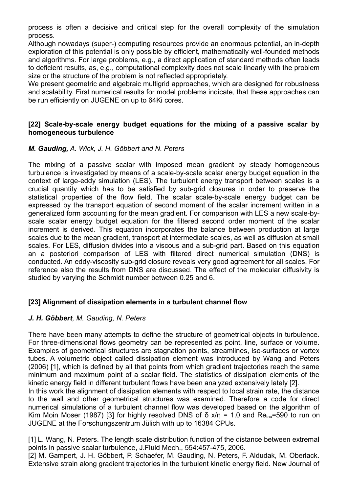process is often a decisive and critical step for the overall complexity of the simulation process.

Although nowadays (super-) computing resources provide an enormous potential, an in-depth exploration of this potential is only possible by efficient, mathematically well-founded methods and algorithms. For large problems, e.g., a direct application of standard methods often leads to deficient results, as, e.g., computational complexity does not scale linearly with the problem size or the structure of the problem is not reflected appropriately.

We present geometric and algebraic multigrid approaches, which are designed for robustness and scalability. First numerical results for model problems indicate, that these approaches can be run efficiently on JUGENE on up to 64Ki cores.

#### **[22] Scale-by-scale energy budget equations for the mixing of a passive scalar by homogeneous turbulence**

#### *M. Gauding, A. Wick, J. H. Göbbert and N. Peters*

The mixing of a passive scalar with imposed mean gradient by steady homogeneous turbulence is investigated by means of a scale-by-scale scalar energy budget equation in the context of large-eddy simulation (LES). The turbulent energy transport between scales is a crucial quantity which has to be satisfied by sub-grid closures in order to preserve the statistical properties of the flow field. The scalar scale-by-scale energy budget can be expressed by the transport equation of second moment of the scalar increment written in a generalized form accounting for the mean gradient. For comparison with LES a new scale-byscale scalar energy budget equation for the filtered second order moment of the scalar increment is derived. This equation incorporates the balance between production at large scales due to the mean gradient, transport at intermediate scales, as well as diffusion at small scales. For LES, diffusion divides into a viscous and a sub-grid part. Based on this equation an a posteriori comparison of LES with filtered direct numerical simulation (DNS) is conducted. An eddy-viscosity sub-grid closure reveals very good agreement for all scales. For reference also the results from DNS are discussed. The effect of the molecular diffusivity is studied by varying the Schmidt number between 0.25 and 6.

#### **[23] Alignment of dissipation elements in a turbulent channel flow**

#### *J. H. Göbbert, M. Gauding, N. Peters*

There have been many attempts to define the structure of geometrical objects in turbulence. For three-dimensional flows geometry can be represented as point, line, surface or volume. Examples of geometrical structures are stagnation points, streamlines, iso-surfaces or vortex tubes. A volumetric object called dissipation element was introduced by Wang and Peters (2006) [1], which is defined by all that points from which gradient trajectories reach the same minimum and maximum point of a scalar field. The statistics of dissipation elements of the kinetic energy field in different turbulent flows have been analyzed extensively lately [2].

In this work the alignment of dissipation elements with respect to local strain rate, the distance to the wall and other geometrical structures was examined. Therefore a code for direct numerical simulations of a turbulent channel flow was developed based on the algorithm of Kim Moin Moser (1987) [3] for highly resolved DNS of δ x/η = 1.0 and Retau=590 to run on JUGENE at the Forschungszentrum Jülich with up to 16384 CPUs.

[1] L. Wang, N. Peters. The length scale distribution function of the distance between extremal points in passive scalar turbulence, J.Fluid Mech., 554:457-475, 2006.

[2] M. Gampert, J. H. Göbbert, P. Schaefer, M. Gauding, N. Peters, F. Aldudak, M. Oberlack. Extensive strain along gradient trajectories in the turbulent kinetic energy field. New Journal of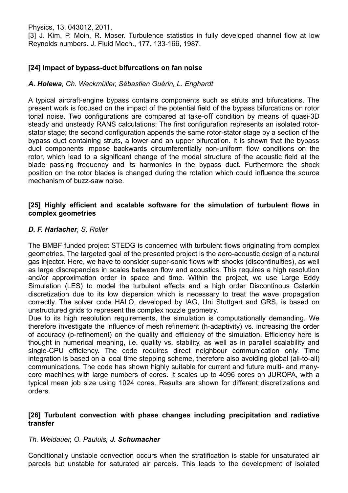Physics, 13, 043012, 2011.

[3] J. Kim, P. Moin, R. Moser. Turbulence statistics in fully developed channel flow at low Reynolds numbers. J. Fluid Mech., 177, 133-166, 1987.

#### **[24] Impact of bypass-duct bifurcations on fan noise**

#### *A. Holewa, Ch. Weckmüller, Sébastien Guérin, L. Enghardt*

A typical aircraft-engine bypass contains components such as struts and bifurcations. The present work is focused on the impact of the potential field of the bypass bifurcations on rotor tonal noise. Two configurations are compared at take-off condition by means of quasi-3D steady and unsteady RANS calculations: The first configuration represents an isolated rotorstator stage; the second configuration appends the same rotor-stator stage by a section of the bypass duct containing struts, a lower and an upper bifurcation. It is shown that the bypass duct components impose backwards circumferentially non-uniform flow conditions on the rotor, which lead to a significant change of the modal structure of the acoustic field at the blade passing frequency and its harmonics in the bypass duct. Furthermore the shock position on the rotor blades is changed during the rotation which could influence the source mechanism of buzz-saw noise.

#### **[25] Highly efficient and scalable software for the simulation of turbulent flows in complex geometries**

#### *D. F. Harlacher, S. Roller*

The BMBF funded project STEDG is concerned with turbulent flows originating from complex geometries. The targeted goal of the presented project is the aero-acoustic design of a natural gas injector. Here, we have to consider super-sonic flows with shocks (discontinuities), as well as large discrepancies in scales between flow and acoustics. This requires a high resolution and/or approximation order in space and time. Within the project, we use Large Eddy Simulation (LES) to model the turbulent effects and a high order Discontinous Galerkin discretization due to its low dispersion which is necessary to treat the wave propagation correctly. The solver code HALO, developed by IAG, Uni Stuttgart and GRS, is based on unstructured grids to represent the complex nozzle geometry.

Due to its high resolution requirements, the simulation is computationally demanding. We therefore investigate the influence of mesh refinement (h-adaptivity) vs. increasing the order of accuracy (p-refinement) on the quality and efficiency of the simulation. Efficiency here is thought in numerical meaning, i.e. quality vs. stability, as well as in parallel scalability and single-CPU efficiency. The code requires direct neighbour communication only. Time integration is based on a local time stepping scheme, therefore also avoiding global (all-to-all) communications. The code has shown highly suitable for current and future multi- and manycore machines with large numbers of cores. It scales up to 4096 cores on JUROPA, with a typical mean job size using 1024 cores. Results are shown for different discretizations and orders.

#### **[26] Turbulent convection with phase changes including precipitation and radiative transfer**

#### *Th. Weidauer, O. Pauluis, J. Schumacher*

Conditionally unstable convection occurs when the stratification is stable for unsaturated air parcels but unstable for saturated air parcels. This leads to the development of isolated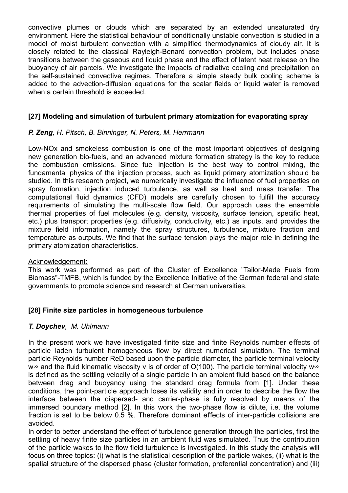convective plumes or clouds which are separated by an extended unsaturated dry environment. Here the statistical behaviour of conditionally unstable convection is studied in a model of moist turbulent convection with a simplified thermodynamics of cloudy air. It is closely related to the classical Rayleigh-Benard convection problem, but includes phase transitions between the gaseous and liquid phase and the effect of latent heat release on the buoyancy of air parcels. We investigate the impacts of radiative cooling and precipitation on the self-sustained convective regimes. Therefore a simple steady bulk cooling scheme is added to the advection-diffusion equations for the scalar fields or liquid water is removed when a certain threshold is exceeded.

#### **[27] Modeling and simulation of turbulent primary atomization for evaporating spray**

#### *P. Zeng, H. Pitsch, B. Binninger, N. Peters, M. Herrmann*

Low-NOx and smokeless combustion is one of the most important objectives of designing new generation bio-fuels, and an advanced mixture formation strategy is the key to reduce the combustion emissions. Since fuel injection is the best way to control mixing, the fundamental physics of the injection process, such as liquid primary atomization should be studied. In this research project, we numerically investigate the influence of fuel properties on spray formation, injection induced turbulence, as well as heat and mass transfer. The computational fluid dynamics (CFD) models are carefully chosen to fulfill the accuracy requirements of simulating the multi-scale flow field. Our approach uses the ensemble thermal properties of fuel molecules (e.g. density, viscosity, surface tension, specific heat, etc.) plus transport properties (e.g. diffusivity, conductivity, etc.) as inputs, and provides the mixture field information, namely the spray structures, turbulence, mixture fraction and temperature as outputs. We find that the surface tension plays the major role in defining the primary atomization characteristics.

#### Acknowledgement:

This work was performed as part of the Cluster of Excellence "Tailor-Made Fuels from Biomass"-TMFB, which is funded by the Excellence Initiative of the German federal and state governments to promote science and research at German universities.

#### **[28] Finite size particles in homogeneous turbulence**

#### *T. Doychev, M. Uhlmann*

In the present work we have investigated finite size and finite Reynolds number effects of particle laden turbulent homogeneous flow by direct numerical simulation. The terminal particle Reynolds number ReD based upon the particle diameter, the particle terminal velocity w∞ and the fluid kinematic viscosity v is of order of O(100). The particle terminal velocity w∞ is defined as the settling velocity of a single particle in an ambient fluid based on the balance between drag and buoyancy using the standard drag formula from [1]. Under these conditions, the point-particle approach loses its validity and in order to describe the flow the interface between the dispersed- and carrier-phase is fully resolved by means of the immersed boundary method [2]. In this work the two-phase flow is dilute, i.e. the volume fraction is set to be below  $0.5\%$ . Therefore dominant effects of inter-particle collisions are avoided.

In order to better understand the effect of turbulence generation through the particles, first the settling of heavy finite size particles in an ambient fluid was simulated. Thus the contribution of the particle wakes to the flow field turbulence is investigated. In this study the analysis will focus on three topics: (i) what is the statistical description of the particle wakes, (ii) what is the spatial structure of the dispersed phase (cluster formation, preferential concentration) and (iii)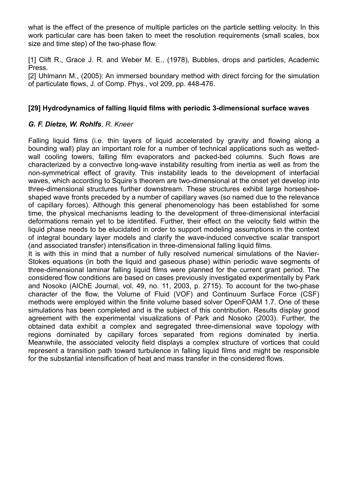what is the effect of the presence of multiple particles on the particle settling velocity. In this work particular care has been taken to meet the resolution requirements (small scales, box size and time step) of the two-phase flow.

[1] Clift R., Grace J. R. and Weber M. E., (1978), Bubbles, drops and particles, Academic Press.

[2] Uhlmann M., (2005): An immersed boundary method with direct forcing for the simulation of particulate flows, J. of Comp. Phys., vol 209, pp. 448-476.

#### **[29] Hydrodynamics of falling liquid films with periodic 3-dimensional surface waves**

#### *G. F. Dietze, W. Rohlfs, R. Kneer*

Falling liquid films (i.e. thin layers of liquid accelerated by gravity and flowing along a bounding wall) play an important role for a number of technical applications such as wettedwall cooling towers, falling film evaporators and packed-bed columns. Such flows are characterized by a convective long-wave instability resulting from inertia as well as from the non-symmetrical effect of gravity. This instability leads to the development of interfacial waves, which according to Squire's theorem are two-dimensional at the onset yet develop into three-dimensional structures further downstream. These structures exhibit large horseshoeshaped wave fronts preceded by a number of capillary waves (so named due to the relevance of capillary forces). Although this general phenomenology has been established for some time, the physical mechanisms leading to the development of three-dimensional interfacial deformations remain yet to be identified. Further, their effect on the velocity field within the liquid phase needs to be elucidated in order to support modeling assumptions in the context of integral boundary layer models and clarify the wave-induced convective scalar transport (and associated transfer) intensification in three-dimensional falling liquid films.

It is with this in mind that a number of fully resolved numerical simulations of the Navier-Stokes equations (in both the liquid and gaseous phase) within periodic wave segments of three-dimensional laminar falling liquid films were planned for the current grant period. The considered flow conditions are based on cases previously investigated experimentally by Park and Nosoko (AIChE Journal, vol. 49, no. 11, 2003, p. 2715). To account for the two-phase character of the flow, the Volume of Fluid (VOF) and Continuum Surface Force (CSF) methods were employed within the finite volume based solver OpenFOAM 1.7. One of these simulations has been completed and is the subject of this contribution. Results display good agreement with the experimental visualizations of Park and Nosoko (2003). Further, the obtained data exhibit a complex and segregated three-dimensional wave topology with regions dominated by capillary forces separated from regions dominated by inertia. Meanwhile, the associated velocity field displays a complex structure of vortices that could represent a transition path toward turbulence in falling liquid films and might be responsible for the substantial intensification of heat and mass transfer in the considered flows.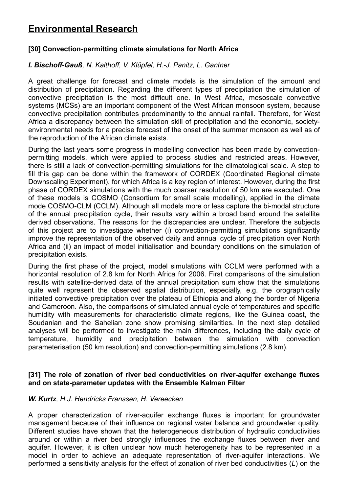## **Environmental Research**

#### **[30] Convection-permitting climate simulations for North Africa**

#### *I. Bischoff-Gauß, N. Kalthoff, V. Klüpfel, H.-J. Panitz, L. Gantner*

A great challenge for forecast and climate models is the simulation of the amount and distribution of precipitation. Regarding the different types of precipitation the simulation of convective precipitation is the most difficult one. In West Africa, mesoscale convective systems (MCSs) are an important component of the West African monsoon system, because convective precipitation contributes predominantly to the annual rainfall. Therefore, for West Africa a discrepancy between the simulation skill of precipitation and the economic, societyenvironmental needs for a precise forecast of the onset of the summer monsoon as well as of the reproduction of the African climate exists.

During the last years some progress in modelling convection has been made by convectionpermitting models, which were applied to process studies and restricted areas. However, there is still a lack of convection-permitting simulations for the climatological scale. A step to fill this gap can be done within the framework of CORDEX (Coordinated Regional climate Downscaling Experiment), for which Africa is a key region of interest. However, during the first phase of CORDEX simulations with the much coarser resolution of 50 km are executed. One of these models is COSMO (Consortium for small scale modelling), applied in the climate mode COSMO-CLM (CCLM). Although all models more or less capture the bi-modal structure of the annual precipitation cycle, their results vary within a broad band around the satellite derived observations. The reasons for the discrepancies are unclear. Therefore the subjects of this project are to investigate whether (i) convection-permitting simulations significantly improve the representation of the observed daily and annual cycle of precipitation over North Africa and (ii) an impact of model initialisation and boundary conditions on the simulation of precipitation exists.

During the first phase of the project, model simulations with CCLM were performed with a horizontal resolution of 2.8 km for North Africa for 2006. First comparisons of the simulation results with satellite-derived data of the annual precipitation sum show that the simulations quite well represent the observed spatial distribution, especially, e.g. the orographically initiated convective precipitation over the plateau of Ethiopia and along the border of Nigeria and Cameroon. Also, the comparisons of simulated annual cycle of temperatures and specific humidity with measurements for characteristic climate regions, like the Guinea coast, the Soudanian and the Sahelian zone show promising similarities. In the next step detailed analyses will be performed to investigate the main differences, including the daily cycle of temperature, humidity and precipitation between the simulation with convection parameterisation (50 km resolution) and convection-permitting simulations (2.8 km).

#### **[31] The role of zonation of river bed conductivities on river-aquifer exchange fluxes and on state-parameter updates with the Ensemble Kalman Filter**

#### *W. Kurtz, H.J. Hendricks Franssen, H. Vereecken*

A proper characterization of river-aquifer exchange fluxes is important for groundwater management because of their influence on regional water balance and groundwater quality. Different studies have shown that the heterogeneous distribution of hydraulic conductivities around or within a river bed strongly influences the exchange fluxes between river and aquifer. However, it is often unclear how much heterogeneity has to be represented in a model in order to achieve an adequate representation of river-aquifer interactions. We performed a sensitivity analysis for the effect of zonation of river bed conductivities (*L*) on the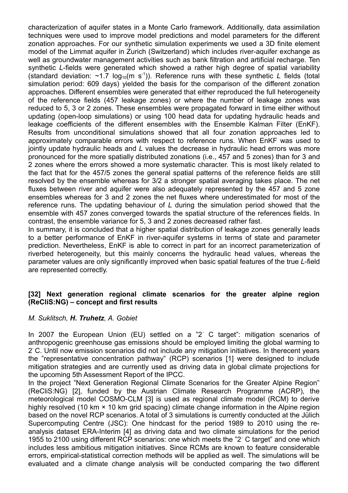characterization of aquifer states in a Monte Carlo framework. Additionally, data assimilation techniques were used to improve model predictions and model parameters for the different zonation approaches. For our synthetic simulation experiments we used a 3D finite element model of the Limmat aquifer in Zurich (Switzerland) which includes river-aquifer exchange as well as groundwater management activities such as bank filtration and artificial recharge. Ten synthetic *L*-fields were generated which showed a rather high degree of spatial variability (standard deviation:  $\sim$ 1.7 log<sub>10</sub>(m s<sup>-1</sup>)). Reference runs with these synthetic *L* fields (total simulation period: 609 days) yielded the basis for the comparison of the different zonation approaches. Different ensembles were generated that either reproduced the full heterogeneity of the reference fields (457 leakage zones) or where the number of leakage zones was reduced to 5, 3 or 2 zones. These ensembles were propagated forward in time either without updating (open-loop simulations) or using 100 head data for updating hydraulic heads and leakage coefficients of the different ensembles with the Ensemble Kalman Filter (EnKF). Results from unconditional simulations showed that all four zonation approaches led to approximately comparable errors with respect to reference runs. When EnKF was used to jointly update hydraulic heads and *L* values the decrease in hydraulic head errors was more pronounced for the more spatially distributed zonations (i.e., 457 and 5 zones) than for 3 and 2 zones where the errors showed a more systematic character. This is most likely related to the fact that for the 457/5 zones the general spatial patterns of the reference fields are still resolved by the ensemble whereas for 3/2 a stronger spatial averaging takes place. The net fluxes between river and aquifer were also adequately represented by the 457 and 5 zone ensembles whereas for 3 and 2 zones the net fluxes where underestimated for most of the reference runs. The updating behaviour of *L* during the simulation period showed that the ensemble with 457 zones converged towards the spatial structure of the references fields. In contrast, the ensemble variance for 5, 3 and 2 zones decreased rather fast.

In summary, it is concluded that a higher spatial distribution of leakage zones generally leads to a better performance of EnKF in river-aquifer systems in terms of state and parameter prediction. Nevertheless, EnKF is able to correct in part for an incorrect parameterization of riverbed heterogeneity, but this mainly concerns the hydraulic head values, whereas the parameter values are only significantly improved when basic spatial features of the true *L*-field are represented correctly.

#### **[32] Next generation regional climate scenarios for the greater alpine region (ReCliS:NG) – concept and first results**

#### *M. Suklitsch, H. Truhetz, A. Gobiet*

In 2007 the European Union (EU) settled on a "2◦ C target": mitigation scenarios of anthropogenic greenhouse gas emissions should be employed limiting the global warming to 2 ◦ C. Until now emission scenarios did not include any mitigation initiatives. In therecent years the "representative concentration pathway" (RCP) scenarios [1] were designed to include mitigation strategies and are currently used as driving data in global climate projections for the upcoming 5th Assessment Report of the IPCC.

In the project "Next Generation Regional Climate Scenarios for the Greater Alpine Region" (ReCliS:NG) [2], funded by the Austrian Climate Research Programme (ACRP), the meteorological model COSMO-CLM [3] is used as regional climate model (RCM) to derive highly resolved (10 km  $\times$  10 km grid spacing) climate change information in the Alpine region based on the novel RCP scenarios. A total of 3 simulations is currently conducted at the Jülich Supercomputing Centre (JSC): One hindcast for the period 1989 to 2010 using the reanalysis dataset ERA-Interim [4] as driving data and two climate simulations for the period 1955 to 2100 using different RCP scenarios: one which meets the "2° C target" and one which includes less ambitious mitigation initiatives. Since RCMs are known to feature considerable errors, empirical-statistical correction methods will be applied as well. The simulations will be evaluated and a climate change analysis will be conducted comparing the two different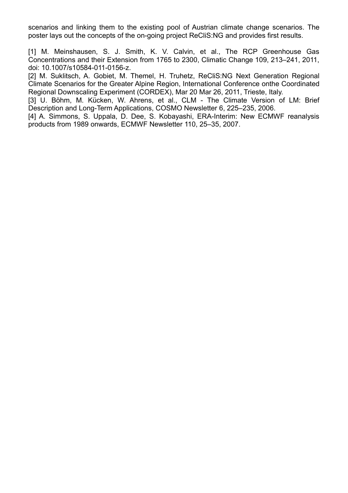scenarios and linking them to the existing pool of Austrian climate change scenarios. The poster lays out the concepts of the on-going project ReCliS:NG and provides first results.

[1] M. Meinshausen, S. J. Smith, K. V. Calvin, et al., The RCP Greenhouse Gas Concentrations and their Extension from 1765 to 2300, Climatic Change 109, 213–241, 2011, doi: 10.1007/s10584-011-0156-z.

[2] M. Suklitsch, A. Gobiet, M. Themel, H. Truhetz, ReCliS:NG Next Generation Regional Climate Scenarios for the Greater Alpine Region, International Conference onthe Coordinated Regional Downscaling Experiment (CORDEX), Mar 20 Mar 26, 2011, Trieste, Italy.

[3] U. Böhm, M. Kücken, W. Ahrens, et al., CLM - The Climate Version of LM: Brief Description and Long-Term Applications, COSMO Newsletter 6, 225–235, 2006.

[4] A. Simmons, S. Uppala, D. Dee, S. Kobayashi, ERA-Interim: New ECMWF reanalysis products from 1989 onwards, ECMWF Newsletter 110, 25–35, 2007.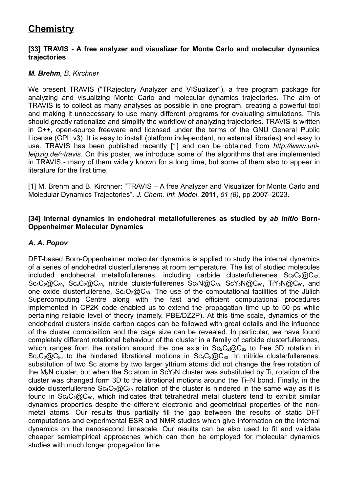## **Chemistry**

#### **[33] TRAVIS - A free analyzer and visualizer for Monte Carlo and molecular dynamics trajectories**

#### *M. Brehm, B. Kirchner*

We present TRAVIS ("TRajectory Analyzer and VISualizer"), a free program package for analyzing and visualizing Monte Carlo and molecular dynamics trajectories. The aim of TRAVIS is to collect as many analyses as possible in one program, creating a powerful tool and making it unnecessary to use many different programs for evaluating simulations. This should greatly rationalize and simplify the workflow of analyzing trajectories. TRAVIS is written in C++, open-source freeware and licensed under the terms of the GNU General Public License (GPL v3). It is easy to install (platform independent, no external libraries) and easy to use. TRAVIS has been published recently [1] and can be obtained from *http://www.unileipzig.de/~travis*. On this poster, we introduce some of the algorithms that are implemented in TRAVIS - many of them widely known for a long time, but some of them also to appear in literature for the first time.

[1] M. Brehm and B. Kirchner: "TRAVIS – A free Analyzer and Visualizer for Monte Carlo and Moledular Dynamics Trajectories". *J. Chem. Inf. Model.* **2011**, *51 (8)*, pp 2007–2023.

#### **[34] Internal dynamics in endohedral metallofullerenes as studied by** *ab initio* **Born-Oppenheimer Molecular Dynamics**

#### *A. A. Popov*

DFT-based Born-Oppenheimer molecular dynamics is applied to study the internal dynamics of a series of endohedral clusterfullerenes at room temperature. The list of studied molecules included endohedral metallofullerenes, including carbide clusterfullerenes  $Sc_2C_2@C_{82}$ ,  $Sc_3C_2@C_{80}$ ,  $Sc_4C_2@C_{80}$ , nitride cluisterfullerenes  $Sc_3N@C_{80}$ ,  $ScY_2N@C_{80}$ , TiY<sub>2</sub>N@C<sub>80</sub>, and one oxide clusterfullerene,  $Sc_4O_2@C_{80}$ . The use of the computational facilities of the Jülich Supercomputing Centre along with the fast and efficient computational procedures implemented in CP2K code enabled us to extend the propagation time up to 50 ps while pertaining reliable level of theory (namely, PBE/DZ2P). At this time scale, dynamics of the endohedral clusters inside carbon cages can be followed with great details and the influence of the cluster composition and the cage size can be revealed. In particular, we have found completely different rotational behaviour of the cluster in a family of carbide clusterfullerenes, which ranges from the rotation around the one axis in  $Sc_2C_2@C_{82}$  to free 3D rotation in  $Sc_3C_2@C_{80}$  to the hindered librational motions in  $Sc_4C_2@C_{80}$ . In nitride clusterfullerenes, substitution of two Sc atoms by two larger yttrium atoms did not change the free rotation of the M<sub>3</sub>N cluster, but when the Sc atom in ScY<sub>2</sub>N cluster was substituted by Ti, rotation of the cluster was changed form 3D to the librational motions around the Ti–N bond. Finally, in the oxide clusterfullerene  $Sc_4O_2@C_{80}$  rotation of the cluster is hindered in the same way as it is found in  $Sc_4C_2@C_{80}$ , which indicates that tetrahedral metal clusters tend to exhibit similar dynamics properties despite the different electronic and geometrical properties of the nonmetal atoms. Our results thus partially fill the gap between the results of static DFT computations and experimental ESR and NMR studies which give information on the internal dynamics on the nanosecond timescale. Our results can be also used to fit and validate cheaper semiempirical approaches which can then be employed for molecular dynamics studies with much longer propagation time.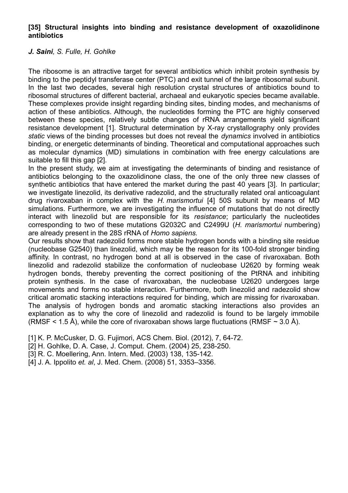#### **[35] Structural insights into binding and resistance development of oxazolidinone antibiotics**

#### *J. Saini, S. Fulle, H. Gohlke*

The ribosome is an attractive target for several antibiotics which inhibit protein synthesis by binding to the peptidyl transferase center (PTC) and exit tunnel of the large ribosomal subunit. In the last two decades, several high resolution crystal structures of antibiotics bound to ribosomal structures of different bacterial, archaeal and eukaryotic species became available. These complexes provide insight regarding binding sites, binding modes, and mechanisms of action of these antibiotics. Although, the nucleotides forming the PTC are highly conserved between these species, relatively subtle changes of rRNA arrangements yield significant resistance development [1]. Structural determination by X-ray crystallography only provides *static* views of the binding processes but does not reveal the *dynamics* involved in antibiotics binding, or energetic determinants of binding. Theoretical and computational approaches such as molecular dynamics (MD) simulations in combination with free energy calculations are suitable to fill this gap [2].

In the present study, we aim at investigating the determinants of binding and resistance of antibiotics belonging to the oxazolidinone class, the one of the only three new classes of synthetic antibiotics that have entered the market during the past 40 years [3]. In particular; we investigate linezolid, its derivative radezolid, and the structurally related oral anticoagulant drug rivaroxaban in complex with the *H. marismortui* [4] 50S subunit by means of MD simulations. Furthermore, we are investigating the influence of mutations that do not directly interact with linezolid but are responsible for its *resistance*; particularly the nucleotides corresponding to two of these mutations G2032C and C2499U (*H. marismortui* numbering) are already present in the 28S rRNA of *Homo sapiens.*

Our results show that radezolid forms more stable hydrogen bonds with a binding site residue (nucleobase G2540) than linezolid, which may be the reason for its 100-fold stronger binding affinity. In contrast, no hydrogen bond at all is observed in the case of rivaroxaban. Both linezolid and radezolid stabilize the conformation of nucleobase U2620 by forming weak hydrogen bonds, thereby preventing the correct positioning of the PtRNA and inhibiting protein synthesis. In the case of rivaroxaban, the nucleobase U2620 undergoes large movements and forms no stable interaction. Furthermore, both linezolid and radezolid show critical aromatic stacking interactions required for binding, which are missing for rivaroxaban. The analysis of hydrogen bonds and aromatic stacking interactions also provides an explanation as to why the core of linezolid and radezolid is found to be largely immobile (RMSF < 1.5 Å), while the core of rivaroxaban shows large fluctuations (RMSF  $\sim$  3.0 Å).

- [1] K. P. McCusker, D. G. Fujimori, ACS Chem. Biol. (2012), 7, 64-72.
- [2] H. Gohlke, D. A. Case, J. Comput. Chem. (2004) 25, 238-250.
- [3] R. C. Moellering, Ann. Intern. Med. (2003) 138, 135-142.
- [4] J. A. Ippolito *et. al*, J. Med. Chem. (2008) 51, 3353–3356.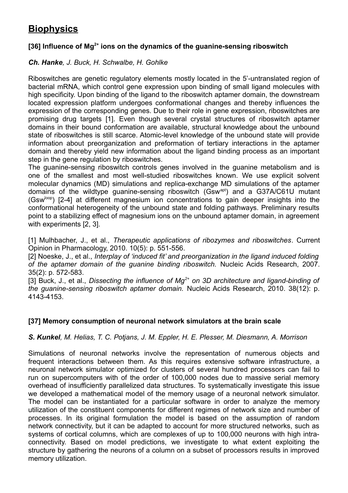## **Biophysics**

#### **[36] Influence of Mg2+ ions on the dynamics of the guanine-sensing riboswitch**

#### *Ch. Hanke, J. Buck, H. Schwalbe, H. Gohlke*

Riboswitches are genetic regulatory elements mostly located in the 5'-untranslated region of bacterial mRNA, which control gene expression upon binding of small ligand molecules with high specificity. Upon binding of the ligand to the riboswitch aptamer domain, the downstream located expression platform undergoes conformational changes and thereby influences the expression of the corresponding genes. Due to their role in gene expression, riboswitches are promising drug targets [1]. Even though several crystal structures of riboswitch aptamer domains in their bound conformation are available, structural knowledge about the unbound state of riboswitches is still scarce. Atomic-level knowledge of the unbound state will provide information about preorganization and preformation of tertiary interactions in the aptamer domain and thereby yield new information about the ligand binding process as an important step in the gene regulation by riboswitches.

The guanine-sensing riboswitch controls genes involved in the guanine metabolism and is one of the smallest and most well-studied riboswitches known. We use explicit solvent molecular dynamics (MD) simulations and replica-exchange MD simulations of the aptamer domains of the wildtype quanine-sensing riboswitch (Gsw<sup>apt</sup>) and a G37A/C61U mutant (Gswloop) [2-4] at different magnesium ion concentrations to gain deeper insights into the conformational heterogeneity of the unbound state and folding pathways. Preliminary results point to a stabilizing effect of magnesium ions on the unbound aptamer domain, in agreement with experiments [2, 3].

[1] Mulhbacher, J., et al., *Therapeutic applications of ribozymes and riboswitches*. Current Opinion in Pharmacology, 2010. 10(5): p. 551-556.

[2] Noeske, J., et al., *Interplay of 'induced fit' and preorganization in the ligand induced folding of the aptamer domain of the guanine binding riboswitch.* Nucleic Acids Research, 2007. 35(2): p. 572-583.

[3] Buck, J., et al., *Dissecting the influence of Mg2+ on 3D architecture and ligand-binding of the guanine-sensing riboswitch aptamer domain.* Nucleic Acids Research, 2010. 38(12): p. 4143-4153.

#### **[37] Memory consumption of neuronal network simulators at the brain scale**

#### *S. Kunkel, M. Helias, T. C. Potjans, J. M. Eppler, H. E. Plesser, M. Diesmann, A. Morrison*

Simulations of neuronal networks involve the representation of numerous objects and frequent interactions between them. As this requires extensive software infrastructure, a neuronal network simulator optimized for clusters of several hundred processors can fail to run on supercomputers with of the order of 100,000 nodes due to massive serial memory overhead of insufficiently parallelized data structures. To systematically investigate this issue we developed a mathematical model of the memory usage of a neuronal network simulator. The model can be instantiated for a particular software in order to analyze the memory utilization of the constituent components for different regimes of network size and number of processes. In its original formulation the model is based on the assumption of random network connectivity, but it can be adapted to account for more structured networks, such as systems of cortical columns, which are complexes of up to 100,000 neurons with high intraconnectivity. Based on model predictions, we investigate to what extent exploiting the structure by gathering the neurons of a column on a subset of processors results in improved memory utilization.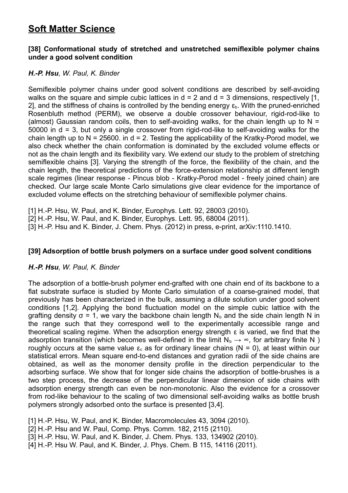## **Soft Matter Science**

#### **[38] Conformational study of stretched and unstretched semiflexible polymer chains under a good solvent condition**

#### *H.-P. Hsu, W. Paul, K. Binder*

Semiflexible polymer chains under good solvent conditions are described by self-avoiding walks on the square and simple cubic lattices in  $d = 2$  and  $d = 3$  dimensions, respectively [1, 2], and the stiffness of chains is controlled by the bending energy  $\epsilon_b$ . With the pruned-enriched Rosenbluth method (PERM), we observe a double crossover behaviour, rigid-rod-like to (almost) Gaussian random coils, then to self-avoiding walks, for the chain length up to  $N =$ 50000 in d = 3, but only a single crossover from rigid-rod-like to self-avoiding walks for the chain length up to  $N = 25600$ . in  $d = 2$ . Testing the applicability of the Kratky-Porod model, we also check whether the chain conformation is dominated by the excluded volume effects or not as the chain length and its flexibility vary. We extend our study to the problem of stretching semiflexible chains [3]. Varying the strength of the force, the flexibility of the chain, and the chain length, the theoretical predictions of the force-extension relationship at different length scale regimes (linear response - Pincus blob - Kratky-Porod model - freely joined chain) are checked. Our large scale Monte Carlo simulations give clear evidence for the importance of excluded volume effects on the stretching behaviour of semiflexible polymer chains.

[1] H.-P. Hsu, W. Paul, and K. Binder, Europhys. Lett. 92, 28003 (2010).

[2] H.-P. Hsu, W. Paul, and K. Binder, Europhys. Lett. 95, 68004 (2011).

[3] H.-P. Hsu and K. Binder, J. Chem. Phys. (2012) in press, e-print, arXiv:1110.1410.

#### **[39] Adsorption of bottle brush polymers on a surface under good solvent conditions**

#### *H.-P. Hsu, W. Paul, K. Binder*

The adsorption of a bottle-brush polymer end-grafted with one chain end of its backbone to a flat substrate surface is studied by Monte Carlo simulation of a coarse-grained model, that previously has been characterized in the bulk, assuming a dilute solution under good solvent conditions [1,2]. Applying the bond fluctuation model on the simple cubic lattice with the grafting density  $\sigma$  = 1, we vary the backbone chain length N<sub>b</sub> and the side chain length N in the range such that they correspond well to the experimentally accessible range and theoretical scaling regime. When the adsorption energy strength ε is varied, we find that the adsorption transition (which becomes well-defined in the limit  $N_b \rightarrow \infty$ , for arbitrary finite N ) roughly occurs at the same value  $ε<sub>c</sub>$  as for ordinary linear chains (N = 0), at least within our statistical errors. Mean square end-to-end distances and gyration radii of the side chains are obtained, as well as the monomer density profile in the direction perpendicular to the adsorbing surface. We show that for longer side chains the adsorption of bottle-brushes is a two step process, the decrease of the perpendicular linear dimension of side chains with adsorption energy strength can even be non-monotonic. Also the evidence for a crossover from rod-like behaviour to the scaling of two dimensional self-avoiding walks as bottle brush polymers strongly adsorbed onto the surface is presented [3,4].

- [1] H.-P. Hsu, W. Paul, and K. Binder, Macromolecules 43, 3094 (2010).
- [2] H.-P. Hsu and W. Paul, Comp. Phys. Comm. 182, 2115 (2110).
- [3] H.-P. Hsu, W. Paul, and K. Binder, J. Chem. Phys. 133, 134902 (2010).
- [4] H.-P. Hsu W. Paul, and K. Binder, J. Phys. Chem. B 115, 14116 (2011).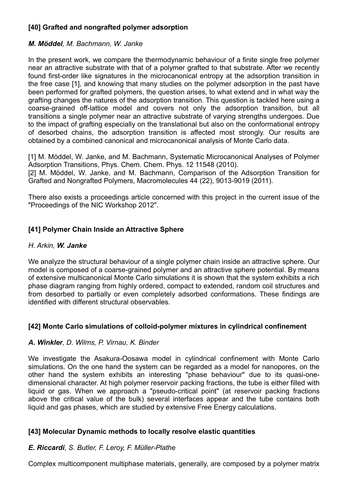#### **[40] Grafted and nongrafted polymer adsorption**

#### *M. Möddel, M. Bachmann, W. Janke*

In the present work, we compare the thermodynamic behaviour of a finite single free polymer near an attractive substrate with that of a polymer grafted to that substrate. After we recently found first-order like signatures in the microcanonical entropy at the adsorption transition in the free case [1], and knowing that many studies on the polymer adsorption in the past have been performed for grafted polymers, the question arises, to what extend and in what way the grafting changes the natures of the adsorption transition. This question is tackled here using a coarse-grained off-lattice model and covers not only the adsorption transition, but all transitions a single polymer near an attractive substrate of varying strengths undergoes. Due to the impact of grafting especially on the translational but also on the conformational entropy of desorbed chains, the adsorption transition is affected most strongly. Our results are obtained by a combined canonical and microcanonical analysis of Monte Carlo data.

[1] M. Möddel, W. Janke, and M. Bachmann, Systematic Microcanonical Analyses of Polymer Adsorption Transitions, Phys. Chem. Chem. Phys. 12 11548 (2010).

[2] M. Möddel, W. Janke, and M. Bachmann, Comparison of the Adsorption Transition for Grafted and Nongrafted Polymers, Macromolecules 44 (22), 9013-9019 (2011).

There also exists a proceedings article concerned with this project in the current issue of the "Proceedings of the NIC Workshop 2012".

#### **[41] Polymer Chain Inside an Attractive Sphere**

#### *H. Arkin, W. Janke*

We analyze the structural behaviour of a single polymer chain inside an attractive sphere. Our model is composed of a coarse-grained polymer and an attractive sphere potential. By means of extensive multicanonical Monte Carlo simulations it is shown that the system exhibits a rich phase diagram ranging from highly ordered, compact to extended, random coil structures and from desorbed to partially or even completely adsorbed conformations. These findings are identified with different structural observables.

#### **[42] Monte Carlo simulations of colloid-polymer mixtures in cylindrical confinement**

#### *A. Winkler, D. Wilms, P. Virnau, K. Binder*

We investigate the Asakura-Oosawa model in cylindrical confinement with Monte Carlo simulations. On the one hand the system can be regarded as a model for nanopores, on the other hand the system exhibits an interesting "phase behaviour" due to its quasi-onedimensional character. At high polymer reservoir packing fractions, the tube is either filled with liquid or gas. When we approach a "pseudo-critical point" (at reservoir packing fractions above the critical value of the bulk) several interfaces appear and the tube contains both liquid and gas phases, which are studied by extensive Free Energy calculations.

#### **[43] Molecular Dynamic methods to locally resolve elastic quantities**

#### *E. Riccardi, S. Butler, F. Leroy, F. Müller-Plathe*

Complex multicomponent multiphase materials, generally, are composed by a polymer matrix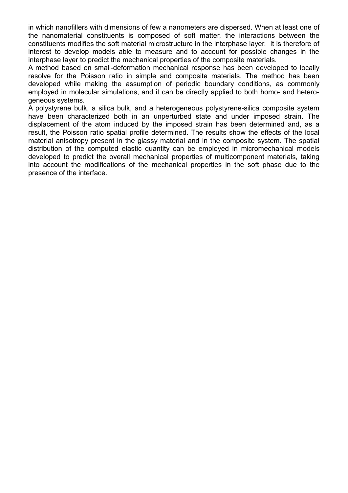in which nanofillers with dimensions of few a nanometers are dispersed. When at least one of the nanomaterial constituents is composed of soft matter, the interactions between the constituents modifies the soft material microstructure in the interphase layer. It is therefore of interest to develop models able to measure and to account for possible changes in the interphase layer to predict the mechanical properties of the composite materials.

A method based on small-deformation mechanical response has been developed to locally resolve for the Poisson ratio in simple and composite materials. The method has been developed while making the assumption of periodic boundary conditions, as commonly employed in molecular simulations, and it can be directly applied to both homo- and heterogeneous systems.

A polystyrene bulk, a silica bulk, and a heterogeneous polystyrene-silica composite system have been characterized both in an unperturbed state and under imposed strain. The displacement of the atom induced by the imposed strain has been determined and, as a result, the Poisson ratio spatial profile determined. The results show the effects of the local material anisotropy present in the glassy material and in the composite system. The spatial distribution of the computed elastic quantity can be employed in micromechanical models developed to predict the overall mechanical properties of multicomponent materials, taking into account the modifications of the mechanical properties in the soft phase due to the presence of the interface.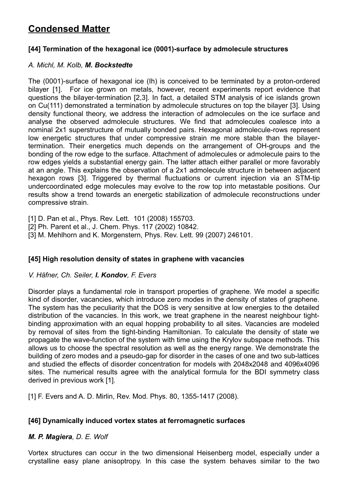## **Condensed Matter**

#### **[44] Termination of the hexagonal ice (0001)-surface by admolecule structures**

#### *A. Michl, M. Kolb, M. Bockstedte*

The (0001)-surface of hexagonal ice (Ih) is conceived to be terminated by a proton-ordered bilayer [1]. For ice grown on metals, however, recent experiments report evidence that questions the bilayer-termination [2,3]. In fact, a detailed STM analysis of ice islands grown on Cu(111) demonstrated a termination by admolecule structures on top the bilayer [3]. Using density functional theory, we address the interaction of admolecules on the ice surface and analyse the observed admolecule structures. We find that admolecules coalesce into a nominal 2x1 superstructure of mutually bonded pairs. Hexagonal admolecule-rows represent low energetic structures that under compressive strain me more stable than the bilayertermination. Their energetics much depends on the arrangement of OH-groups and the bonding of the row edge to the surface. Attachment of admolecules or admolecule pairs to the row edges yields a substantial energy gain. The latter attach either parallel or more favorably at an angle. This explains the observation of a 2x1 admolecule structure in between adjacent hexagon rows [3]. Triggered by thermal fluctuations or current injection via an STM-tip undercoordinated edge molecules may evolve to the row top into metastable positions. Our results show a trend towards an energetic stabilization of admolecule reconstructions under compressive strain.

[1] D. Pan et al., Phys. Rev. Lett. 101 (2008) 155703.

[2] Ph. Parent et al., J. Chem. Phys. 117 (2002) 10842.

[3] M. Mehlhorn and K. Morgenstern, Phys. Rev. Lett. 99 (2007) 246101.

#### **[45] High resolution density of states in graphene with vacancies**

#### *V. Häfner, Ch. Seiler, I. Kondov, F. Evers*

Disorder plays a fundamental role in transport properties of graphene. We model a specific kind of disorder, vacancies, which introduce zero modes in the density of states of graphene. The system has the peculiarity that the DOS is very sensitive at low energies to the detailed distribution of the vacancies. In this work, we treat graphene in the nearest neighbour tightbinding approximation with an equal hopping probability to all sites. Vacancies are modeled by removal of sites from the tight-binding Hamiltonian. To calculate the density of state we propagate the wave-function of the system with time using the Krylov subspace methods. This allows us to choose the spectral resolution as well as the energy range. We demonstrate the building of zero modes and a pseudo-gap for disorder in the cases of one and two sub-lattices and studied the effects of disorder concentration for models with 2048x2048 and 4096x4096 sites. The numerical results agree with the analytical formula for the BDI symmetry class derived in previous work [1].

[1] F. Evers and A. D. Mirlin, Rev. Mod. Phys. 80, 1355-1417 (2008).

#### **[46] Dynamically induced vortex states at ferromagnetic surfaces**

#### *M. P. Magiera, D. E. Wolf*

Vortex structures can occur in the two dimensional Heisenberg model, especially under a crystalline easy plane anisoptropy. In this case the system behaves similar to the two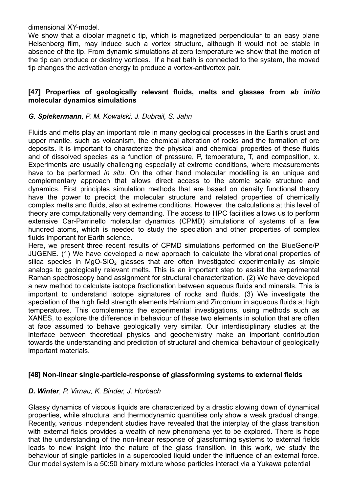dimensional XY-model.

We show that a dipolar magnetic tip, which is magnetized perpendicular to an easy plane Heisenberg film, may induce such a vortex structure, although it would not be stable in absence of the tip. From dynamic simulations at zero temperature we show that the motion of the tip can produce or destroy vortices. If a heat bath is connected to the system, the moved tip changes the activation energy to produce a vortex-antivortex pair.

#### **[47] Properties of geologically relevant fluids, melts and glasses from** *ab initio* **molecular dynamics simulations**

#### *G. Spiekermann, P. M. Kowalski, J. Dubrail, S. Jahn*

Fluids and melts play an important role in many geological processes in the Earth's crust and upper mantle, such as volcanism, the chemical alteration of rocks and the formation of ore deposits. It is important to characterize the physical and chemical properties of these fluids and of dissolved species as a function of pressure, P, temperature, T, and composition, x. Experiments are usually challenging especially at extreme conditions, where measurements have to be performed *in situ*. On the other hand molecular modelling is an unique and complementary approach that allows direct access to the atomic scale structure and dynamics. First principles simulation methods that are based on density functional theory have the power to predict the molecular structure and related properties of chemically complex melts and fluids, also at extreme conditions. However, the calculations at this level of theory are computationally very demanding. The access to HPC facilities allows us to perform extensive Car-Parrinello molecular dynamics (CPMD) simulations of systems of a few hundred atoms, which is needed to study the speciation and other properties of complex fluids important for Earth science.

Here, we present three recent results of CPMD simulations performed on the BlueGene/P JUGENE. (1) We have developed a new approach to calculate the vibrational properties of silica species in  $MqO-SiO<sub>2</sub>$  glasses that are often investigated experimentally as simple analogs to geologically relevant melts. This is an important step to assist the experimental Raman spectroscopy band assignment for structural characterization. (2) We have developed a new method to calculate isotope fractionation between aqueous fluids and minerals. This is important to understand isotope signatures of rocks and fluids. (3) We investigate the speciation of the high field strength elements Hafnium and Zirconium in aqueous fluids at high temperatures. This complements the experimental investigations, using methods such as XANES, to explore the difference in behaviour of these two elements in solution that are often at face assumed to behave geologically very similar. Our interdisciplinary studies at the interface between theoretical physics and geochemistry make an important contribution towards the understanding and prediction of structural and chemical behaviour of geologically important materials.

#### **[48] Non-linear single-particle-response of glassforming systems to external fields**

#### *D. Winter, P. Virnau, K. Binder, J. Horbach*

Glassy dynamics of viscous liquids are characterized by a drastic slowing down of dynamical properties, while structural and thermodynamic quantities only show a weak gradual change. Recently, various independent studies have revealed that the interplay of the glass transition with external fields provides a wealth of new phenomena yet to be explored. There is hope that the understanding of the non-linear response of glassforming systems to external fields leads to new insight into the nature of the glass transition. In this work, we study the behaviour of single particles in a supercooled liquid under the influence of an external force. Our model system is a 50:50 binary mixture whose particles interact via a Yukawa potential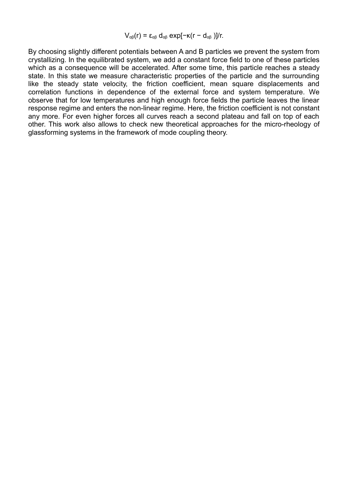$$
V_{\alpha\beta}(r) = \varepsilon_{\alpha\beta} d_{\alpha\beta} \exp[-\kappa(r - d_{\alpha\beta})]/r.
$$

By choosing slightly different potentials between A and B particles we prevent the system from crystallizing. In the equilibrated system, we add a constant force field to one of these particles which as a consequence will be accelerated. After some time, this particle reaches a steady state. In this state we measure characteristic properties of the particle and the surrounding like the steady state velocity, the friction coefficient, mean square displacements and correlation functions in dependence of the external force and system temperature. We observe that for low temperatures and high enough force fields the particle leaves the linear response regime and enters the non-linear regime. Here, the friction coefficient is not constant any more. For even higher forces all curves reach a second plateau and fall on top of each other. This work also allows to check new theoretical approaches for the micro-rheology of glassforming systems in the framework of mode coupling theory.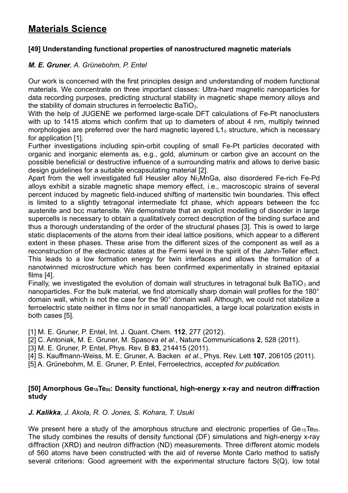## **Materials Science**

#### **[49] Understanding functional properties of nanostructured magnetic materials**

#### *M. E. Gruner, A. Grünebohm, P. Entel*

Our work is concerned with the first principles design and understanding of modern functional materials. We concentrate on three important classes: Ultra-hard magnetic nanoparticles for data recording purposes, predicting structural stability in magnetic shape memory alloys and the stability of domain structures in ferroelectic BaTiO $_3$ .

With the help of JUGENE we performed large-scale DFT calculations of Fe-Pt nanoclusters with up to 1415 atoms which confirm that up to diameters of about 4 nm, multiply twinned morphologies are preferred over the hard magnetic layered  $L1<sub>0</sub>$  structure, which is necessary for application [1].

Further investigations including spin-orbit coupling of small Fe-Pt particles decorated with organic and inorganic elements as, e.g., gold, aluminum or carbon give an account on the possible beneficial or destructive influence of a surrounding matrix and allows to derive basic design guidelines for a suitable encapsulating material [2].

Apart from the well investigated full Heusler alloy Ni2MnGa, also disordered Fe-rich Fe-Pd alloys exhibit a sizable magnetic shape memory effect, i.e., macroscopic strains of several percent induced by magnetic field-induced shifting of martensitic twin boundaries. This effect is limited to a slightly tetragonal intermediate fct phase, which appears between the fcc austenite and bcc martensite. We demonstrate that an explicit modelling of disorder in large supercells is necessary to obtain a qualitatively correct description of the binding surface and thus a thorough understanding of the order of the structural phases [3]. This is owed to large static displacements of the atoms from their ideal lattice positions, which appear to a different extent in these phases. These arise from the different sizes of the component as well as a reconstruction of the electronic states at the Fermi level in the spirit of the Jahn-Teller effect. This leads to a low formation energy for twin interfaces and allows the formation of a nanotwinned microstructure which has been confirmed experimentally in strained epitaxial films [4].

Finally, we investigated the evolution of domain wall structures in tetragonal bulk BaTiO<sub>3</sub> and nanoparticles. For the bulk material, we find atomically sharp domain wall profiles for the 180° domain wall, which is not the case for the 90° domain wall. Although, we could not stabilize a ferroelectric state neither in films nor in small nanoparticles, a large local polarization exists in both cases [5].

[1] M. E. Gruner, P. Entel, Int. J. Quant. Chem. **112**, 277 (2012).

[2] C. Antoniak, M. E. Gruner, M. Spasova *et al.*, Nature Communications **2**, 528 (2011).

[3] M. E. Gruner, P. Entel, Phys. Rev. B **83**, 214415 (2011).

[4] S. Kauffmann-Weiss, M. E. Gruner, A. Backen *et al.*, Phys. Rev. Lett **107**, 206105 (2011).

[5] A. Grünebohm, M. E. Gruner, P. Entel, Ferroelectrics, *accepted for publication.*

#### **[50] Amorphous Ge**<sup>15</sup>**Te**<sup>85</sup>**: Density functional, high-energy x-ray and neutron diffraction study**

#### *J. Kalikka, J. Akola, R. O. Jones, S. Kohara, T. Usuki*

We present here a study of the amorphous structure and electronic properties of Ge<sub>15</sub>Te<sub>85</sub>. The study combines the results of density functional (DF) simulations and high-energy x-ray diffraction (XRD) and neutron diffraction (ND) measurements. Three different atomic models of 560 atoms have been constructed with the aid of reverse Monte Carlo method to satisfy several criterions: Good agreement with the experimental structure factors S(Q), low total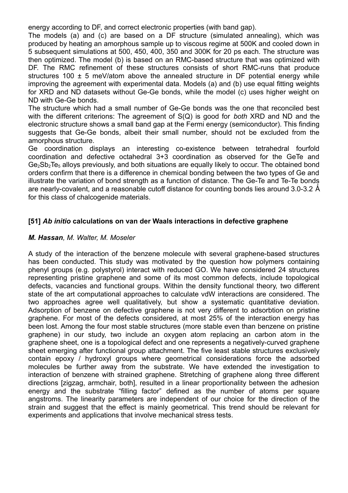energy according to DF, and correct electronic properties (with band gap).

The models (a) and (c) are based on a DF structure (simulated annealing), which was produced by heating an amorphous sample up to viscous regime at 500K and cooled down in 5 subsequent simulations at 500, 450, 400, 350 and 300K for 20 ps each. The structure was then optimized. The model (b) is based on an RMC-based structure that was optimized with DF. The RMC refinement of these structures consists of short RMC-runs that produce structures 100  $\pm$  5 meV/atom above the annealed structure in DF potential energy while improving the agreement with experimental data. Models (a) and (b) use equal fitting weights for XRD and ND datasets without Ge-Ge bonds, while the model (c) uses higher weight on ND with Ge-Ge bonds.

The structure which had a small number of Ge-Ge bonds was the one that reconciled best with the different criterions: The agreement of S(Q) is good for *both* XRD and ND and the electronic structure shows a small band gap at the Fermi energy (semiconductor). This finding suggests that Ge-Ge bonds, albeit their small number, should not be excluded from the amorphous structure.

Ge coordination displays an interesting co-existence between tetrahedral fourfold coordination and defective octahedral 3+3 coordination as observed for the GeTe and  $Ge<sub>2</sub>Sb<sub>2</sub>Te<sub>5</sub>$  alloys previously, and both situations are equally likely to occur. The obtained bond orders confirm that there is a difference in chemical bonding between the two types of Ge and illustrate the variation of bond strength as a function of distance. The Ge-Te and Te-Te bonds are nearly-covalent, and a reasonable cutoff distance for counting bonds lies around 3.0-3.2  $\AA$ for this class of chalcogenide materials.

#### **[51]** *Ab initio* **calculations on van der Waals interactions in defective graphene**

#### *M. Hassan, M. Walter, M. Moseler*

A study of the interaction of the benzene molecule with several graphene-based structures has been conducted. This study was motivated by the question how polymers containing phenyl groups (e.g. polystyrol) interact with reduced GO. We have considered 24 structures representing pristine graphene and some of its most common defects, include topological defects, vacancies and functional groups. Within the density functional theory, two different state of the art computational approaches to calculate vdW interactions are considered. The two approaches agree well qualitatively, but show a systematic quantitative deviation. Adsorption of benzene on defective graphene is not very different to adsorbtion on pristine graphene. For most of the defects considered, at most 25% of the interaction energy has been lost. Among the four most stable structures (more stable even than benzene on pristine graphene) in our study, two include an oxygen atom replacing an carbon atom in the graphene sheet, one is a topological defect and one represents a negatively-curved graphene sheet emerging after functional group attachment. The five least stable structures exclusively contain epoxy / hydroxyl groups where geometrical considerations force the adsorbed molecules be further away from the substrate. We have extended the investigation to interaction of benzene with strained graphene. Stretching of graphene along three different directions [zigzag, armchair, both], resulted in a linear proportionality between the adhesion energy and the substrate "filling factor" defined as the number of atoms per square angstroms. The linearity parameters are independent of our choice for the direction of the strain and suggest that the effect is mainly geometrical. This trend should be relevant for experiments and applications that involve mechanical stress tests.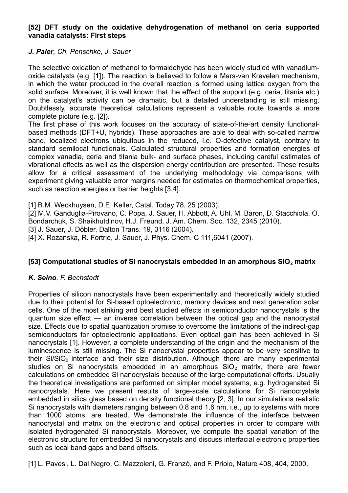#### **[52] DFT study on the oxidative dehydrogenation of methanol on ceria supported vanadia catalysts: First steps**

#### *J. Paier, Ch. Penschke, J. Sauer*

The selective oxidation of methanol to formaldehyde has been widely studied with vanadiumoxide catalysts (e.g. [1]). The reaction is believed to follow a Mars-van Krevelen mechanism, in which the water produced in the overall reaction is formed using lattice oxygen from the solid surface. Moreover, it is well known that the effect of the support (e.g. ceria, titania etc.) on the catalyst's activity can be dramatic, but a detailed understanding is still missing. Doubtlessly, accurate theoretical calculations represent a valuable route towards a more complete picture (e.g. [2]).

The first phase of this work focuses on the accuracy of state-of-the-art density functionalbased methods (DFT+U, hybrids). These approaches are able to deal with so-called narrow band, localized electrons ubiquitous in the reduced, i.e. O-defective catalyst, contrary to standard semilocal functionals. Calculated structural properties and formation energies of complex vanadia, ceria and titania bulk- and surface phases, including careful estimates of vibrational effects as well as the dispersion energy contribution are presented. These results allow for a critical assessment of the underlying methodology via comparisons with experiment giving valuable error margins needed for estimates on thermochemical properties, such as reaction energies or barrier heights [3,4].

[1] B.M. Weckhuysen, D.E. Keller, Catal. Today 78, 25 (2003).

[2] M.V. Ganduglia-Pirovano, C. Popa, J. Sauer, H. Abbott, A. Uhl, M. Baron, D. Stacchiola, O.

Bondarchuk, S. Shaikhutdinov, H.J. Freund, J. Am. Chem. Soc. 132, 2345 (2010).

[3] J. Sauer, J. Döbler, Dalton Trans. 19, 3116 (2004).

[4] X. Rozanska, R. Fortrie, J. Sauer, J. Phys. Chem. C 111,6041 (2007).

#### **[53] Computational studies of Si nanocrystals embedded in an amorphous SiO2 matrix**

#### *K. Seino, F. Bechstedt*

Properties of silicon nanocrystals have been experimentally and theoretically widely studied due to their potential for Si-based optoelectronic, memory devices and next generation solar cells. One of the most striking and best studied effects in semiconductor nanocrystals is the quantum size effect — an inverse correlation between the optical gap and the nanocrystal size. Effects due to spatial quantization promise to overcome the limitations of the indirect-gap semiconductors for optoelectronic applications. Even optical gain has been achieved in Si nanocrystals [1]. However, a complete understanding of the origin and the mechanism of the luminescence is still missing. The Si nanocrystal properties appear to be very sensitive to their  $Si/SiO<sub>2</sub>$  interface and their size distribution. Although there are many experimental studies on Si nanocrystals embedded in an amorphous  $SiO<sub>2</sub>$  matrix, there are fewer calculations on embedded Si nanocrystals because of the large computational efforts. Usually the theoretical investigations are performed on simpler model systems, e.g. hydrogenated Si nanocrystals. Here we present results of large-scale calculations for Si nanocrystals embedded in silica glass based on density functional theory [2, 3]. In our simulations realistic Si nanocrystals with diameters ranging between 0.8 and 1.6 nm, i.e., up to systems with more than 1000 atoms, are treated. We demonstrate the influence of the interface between nanocrystal and matrix on the electronic and optical properties in order to compare with isolated hydrogenated Si nanocrystals. Moreover, we compute the spatial variation of the electronic structure for embedded Si nanocrystals and discuss interfacial electronic properties such as local band gaps and band offsets.

[1] L. Pavesi, L. Dal Negro, C. Mazzoleni, G. Franzò, and F. Priolo, Nature 408, 404, 2000.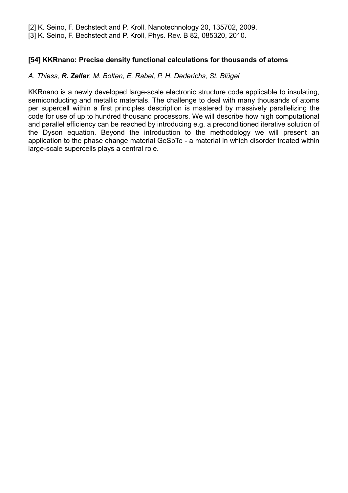[2] K. Seino, F. Bechstedt and P. Kroll, Nanotechnology 20, 135702, 2009.

[3] K. Seino, F. Bechstedt and P. Kroll, Phys. Rev. B 82, 085320, 2010.

#### **[54] KKRnano: Precise density functional calculations for thousands of atoms**

#### *A. Thiess, R. Zeller, M. Bolten, E. Rabel, P. H. Dederichs, St. Blügel*

KKRnano is a newly developed large-scale electronic structure code applicable to insulating, semiconducting and metallic materials. The challenge to deal with many thousands of atoms per supercell within a first principles description is mastered by massively parallelizing the code for use of up to hundred thousand processors. We will describe how high computational and parallel efficiency can be reached by introducing e.g. a preconditioned iterative solution of the Dyson equation. Beyond the introduction to the methodology we will present an application to the phase change material GeSbTe - a material in which disorder treated within large-scale supercells plays a central role.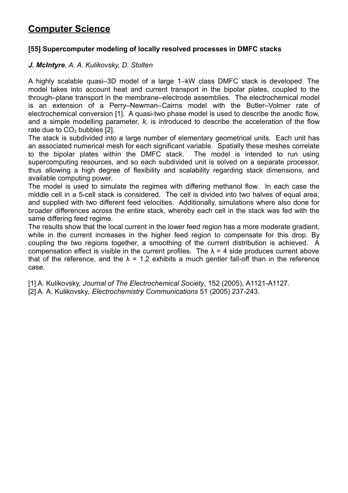## **Computer Science**

#### **[55] Supercomputer modeling of locally resolved processes in DMFC stacks**

#### *J. McIntyre, A. A. Kulikovsky, D. Stolten*

A highly scalable quasi–3D model of a large 1–kW class DMFC stack is developed. The model takes into account heat and current transport in the bipolar plates, coupled to the through–plane transport in the membrane–electrode assemblies. The electrochemical model is an extension of a Perry–Newman–Cairns model with the Butler–Volmer rate of electrochemical conversion [1]. A quasi-two phase model is used to describe the anodic flow, and a simple modelling parameter, *k*, is introduced to describe the acceleration of the flow rate due to  $CO<sub>2</sub>$  bubbles [2].

The stack is subdivided into a large number of elementary geometrical units. Each unit has an associated numerical mesh for each significant variable. Spatially these meshes correlate to the bipolar plates within the DMFC stack. The model is intended to run using supercomputing resources, and so each subdivided unit is solved on a separate processor, thus allowing a high degree of flexibility and scalability regarding stack dimensions, and available computing power.

The model is used to simulate the regimes with differing methanol flow. In each case the middle cell in a 5-cell stack is considered. The cell is divided into two halves of equal area, and supplied with two different feed velocities. Additionally, simulations where also done for broader differences across the entire stack, whereby each cell in the stack was fed with the same differing feed regime.

The results show that the local current in the lower feed region has a more moderate gradient, while in the current increases in the higher feed region to compensate for this drop. By coupling the two regions together, a smoothing of the current distribution is achieved. A compensation effect is visible in the current profiles. The  $\lambda = 4$  side produces current above that of the reference, and the  $\lambda$  = 1.2 exhibits a much gentler fall-off than in the reference case.

[1] A. Kulikovsky, *Journal of The Electrochemical Society*, 152 (2005), A1121-A1127. [2] A. A. Kulikovsky, *Electrochemistry Communications* 51 (2005) 237-243.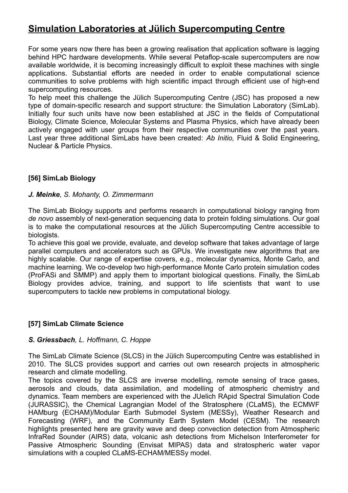## **Simulation Laboratories at Jülich Supercomputing Centre**

For some years now there has been a growing realisation that application software is lagging behind HPC hardware developments. While several Petaflop-scale supercomputers are now available worldwide, it is becoming increasingly difficult to exploit these machines with single applications. Substantial efforts are needed in order to enable computational science communities to solve problems with high scientific impact through efficient use of high-end supercomputing resources.

To help meet this challenge the Jülich Supercomputing Centre (JSC) has proposed a new type of domain-specific research and support structure: the Simulation Laboratory (SimLab). Initially four such units have now been established at JSC in the fields of Computational Biology, Climate Science, Molecular Systems and Plasma Physics, which have already been actively engaged with user groups from their respective communities over the past years. Last year three additional SimLabs have been created: *Ab Initio,* Fluid & Solid Engineering, Nuclear & Particle Physics.

#### **[56] SimLab Biology**

#### *J. Meinke, S. Mohanty, O. Zimmermann*

The SimLab Biology supports and performs research in computational biology ranging from *de novo* assembly of next-generation sequencing data to protein folding simulations. Our goal is to make the computational resources at the Jülich Supercomputing Centre accessible to biologists.

To achieve this goal we provide, evaluate, and develop software that takes advantage of large parallel computers and accelerators such as GPUs. We investigate new algorithms that are highly scalable. Our range of expertise covers, e.g., molecular dynamics, Monte Carlo, and machine learning. We co-develop two high-performance Monte Carlo protein simulation codes (ProFASi and SMMP) and apply them to important biological questions. Finally, the SimLab Biology provides advice, training, and support to life scientists that want to use supercomputers to tackle new problems in computational biology.

#### **[57] SimLab Climate Science**

#### *S. Griessbach, L. Hoffmann, C. Hoppe*

The SimLab Climate Science (SLCS) in the Jülich Supercomputing Centre was established in 2010. The SLCS provides support and carries out own research projects in atmospheric research and climate modelling.

The topics covered by the SLCS are inverse modelling, remote sensing of trace gases, aerosols and clouds, data assimilation, and modelling of atmospheric chemistry and dynamics. Team members are experienced with the JUelich RApid Spectral Simulation Code (JURASSIC), the Chemical Lagrangian Model of the Stratosphere (CLaMS), the ECMWF HAMburg (ECHAM)/Modular Earth Submodel System (MESSy), Weather Research and Forecasting (WRF), and the Community Earth System Model (CESM). The research highlights presented here are gravity wave and deep convection detection from Atmospheric InfraRed Sounder (AIRS) data, volcanic ash detections from Michelson Interferometer for Passive Atmospheric Sounding (Envisat MIPAS) data and stratospheric water vapor simulations with a coupled CLaMS-ECHAM/MESSy model.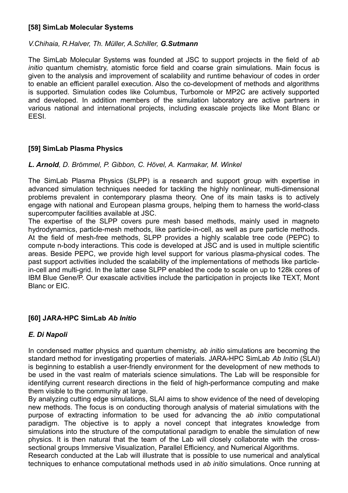#### **[58] SimLab Molecular Systems**

#### *V.Chihaia, R.Halver, Th. Müller, A.Schiller, G.Sutmann*

The SimLab Molecular Systems was founded at JSC to support projects in the field of *ab initio* quantum chemistry, atomistic force field and coarse grain simulations. Main focus is given to the analysis and improvement of scalability and runtime behaviour of codes in order to enable an efficient parallel execution. Also the co-development of methods and algorithms is supported. Simulation codes like Columbus, Turbomole or MP2C are actively supported and developed. In addition members of the simulation laboratory are active partners in various national and international projects, including exascale projects like Mont Blanc or EESI.

#### **[59] SimLab Plasma Physics**

#### *L. Arnold, D. Brömmel, P. Gibbon, C. Hövel, A. Karmakar, M. Winkel*

The SimLab Plasma Physics (SLPP) is a research and support group with expertise in advanced simulation techniques needed for tackling the highly nonlinear, multi-dimensional problems prevalent in contemporary plasma theory. One of its main tasks is to actively engage with national and European plasma groups, helping them to harness the world-class supercomputer facilities available at JSC.

The expertise of the SLPP covers pure mesh based methods, mainly used in magneto hydrodynamics, particle-mesh methods, like particle-in-cell, as well as pure particle methods. At the field of mesh-free methods, SLPP provides a highly scalable tree code (PEPC) to compute n-body interactions. This code is developed at JSC and is used in multiple scientific areas. Beside PEPC, we provide high level support for various plasma-physical codes. The past support activities included the scalability of the implementations of methods like particlein-cell and multi-grid. In the latter case SLPP enabled the code to scale on up to 128k cores of IBM Blue Gene/P. Our exascale activities include the participation in projects like TEXT, Mont Blanc or EIC.

#### **[60] JARA-HPC SimLab** *Ab Initio*

#### *E. Di Napoli*

In condensed matter physics and quantum chemistry, *ab initio* simulations are becoming the standard method for investigating properties of materials. JARA-HPC SimLab *Ab Initio* (SLAI) is beginning to establish a user-friendly environment for the development of new methods to be used in the vast realm of materials science simulations. The Lab will be responsible for identifying current research directions in the field of high-performance computing and make them visible to the community at large.

By analyzing cutting edge simulations, SLAI aims to show evidence of the need of developing new methods. The focus is on conducting thorough analysis of material simulations with the purpose of extracting information to be used for advancing the *ab initio* computational paradigm. The objective is to apply a novel concept that integrates knowledge from simulations into the structure of the computational paradigm to enable the simulation of new physics. It is then natural that the team of the Lab will closely collaborate with the crosssectional groups Immersive Visualization, Parallel Efficiency, and Numerical Algorithms.

Research conducted at the Lab will illustrate that is possible to use numerical and analytical techniques to enhance computational methods used in *ab initio* simulations. Once running at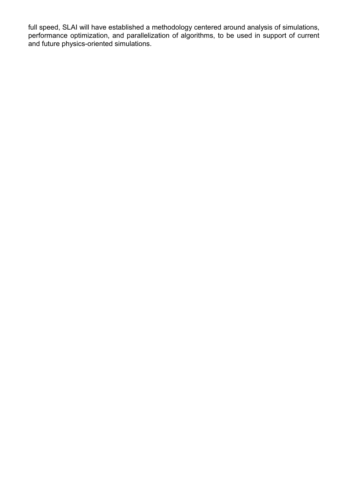full speed, SLAI will have established a methodology centered around analysis of simulations, performance optimization, and parallelization of algorithms, to be used in support of current and future physics-oriented simulations.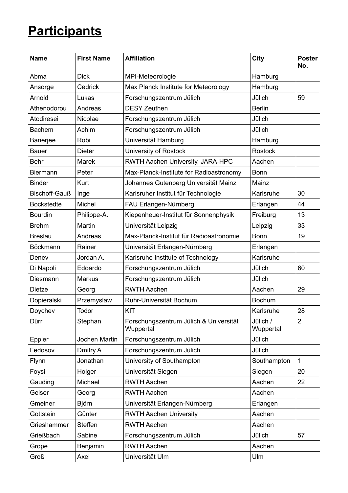# **Participants**

| <b>Name</b>       | <b>First Name</b> | <b>Affiliation</b>                                  | <b>City</b>           | <b>Poster</b><br>No. |
|-------------------|-------------------|-----------------------------------------------------|-----------------------|----------------------|
| Abma              | <b>Dick</b>       | MPI-Meteorologie                                    | Hamburg               |                      |
| Ansorge           | Cedrick           | Max Planck Institute for Meteorology                | Hamburg               |                      |
| Arnold            | Lukas             | Forschungszentrum Jülich                            | Jülich                | 59                   |
| Athenodorou       | Andreas           | <b>DESY Zeuthen</b>                                 | <b>Berlin</b>         |                      |
| Atodiresei        | Nicolae           | Forschungszentrum Jülich                            | Jülich                |                      |
| <b>Bachem</b>     | Achim             | Forschungszentrum Jülich                            | Jülich                |                      |
| <b>Banerjee</b>   | Robi              | Universität Hamburg                                 | Hamburg               |                      |
| <b>Bauer</b>      | <b>Dieter</b>     | University of Rostock                               | <b>Rostock</b>        |                      |
| <b>Behr</b>       | <b>Marek</b>      | RWTH Aachen University, JARA-HPC                    | Aachen                |                      |
| Biermann          | Peter             | Max-Planck-Institute for Radioastronomy             | Bonn                  |                      |
| <b>Binder</b>     | Kurt              | Johannes Gutenberg Universität Mainz                | Mainz                 |                      |
| Bischoff-Gauß     | Inge              | Karlsruher Institut für Technologie                 | Karlsruhe             | 30                   |
| <b>Bockstedte</b> | Michel            | FAU Erlangen-Nürnberg                               | Erlangen              | 44                   |
| <b>Bourdin</b>    | Philippe-A.       | Kiepenheuer-Institut für Sonnenphysik               | Freiburg              | 13                   |
| <b>Brehm</b>      | Martin            | Universität Leipzig                                 | Leipzig               | 33                   |
| <b>Breslau</b>    | Andreas           | Max-Planck-Institut für Radioastronomie             | <b>Bonn</b>           | 19                   |
| <b>Böckmann</b>   | Rainer            | Universität Erlangen-Nürnberg                       | Erlangen              |                      |
| Denev             | Jordan A.         | Karlsruhe Institute of Technology                   | Karlsruhe             |                      |
| Di Napoli         | Edoardo           | Forschungszentrum Jülich                            | Jülich                | 60                   |
| Diesmann          | <b>Markus</b>     | Forschungszentrum Jülich                            | Jülich                |                      |
| <b>Dietze</b>     | Georg             | <b>RWTH Aachen</b>                                  | Aachen                | 29                   |
| Dopieralski       | Przemyslaw        | Ruhr-Universität Bochum                             | <b>Bochum</b>         |                      |
| Doychev           | Todor             | KIT                                                 | Karlsruhe             | 28                   |
| Dürr              | Stephan           | Forschungszentrum Jülich & Universität<br>Wuppertal | Jülich /<br>Wuppertal | $\overline{2}$       |
| Eppler            | Jochen Martin     | Forschungszentrum Jülich                            | Jülich                |                      |
| Fedosov           | Dmitry A.         | Forschungszentrum Jülich                            | Jülich                |                      |
| Flynn             | Jonathan          | University of Southampton                           | Southampton           | 1                    |
| Foysi             | Holger            | Universität Siegen                                  | Siegen                | 20                   |
| Gauding           | Michael           | <b>RWTH Aachen</b>                                  | Aachen                | 22                   |
| Geiser            | Georg             | <b>RWTH Aachen</b>                                  | Aachen                |                      |
| Gmeiner           | <b>Björn</b>      | Universität Erlangen-Nürnberg                       | Erlangen              |                      |
| Gottstein         | Günter            | <b>RWTH Aachen University</b>                       | Aachen                |                      |
| Grieshammer       | Steffen           | <b>RWTH Aachen</b>                                  | Aachen                |                      |
| Grießbach         | Sabine            | Forschungszentrum Jülich                            | Jülich                | 57                   |
| Grope             | Benjamin          | <b>RWTH Aachen</b>                                  | Aachen                |                      |
| <b>Groß</b>       | Axel              | Universität Ulm                                     | Ulm                   |                      |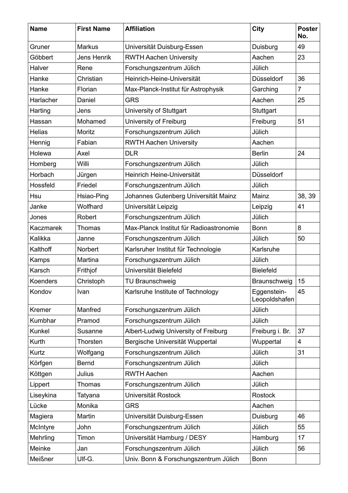| <b>Name</b>      | <b>First Name</b> | <b>Affiliation</b>                      | <b>City</b>                  | <b>Poster</b><br>No. |
|------------------|-------------------|-----------------------------------------|------------------------------|----------------------|
| Gruner           | <b>Markus</b>     | Universität Duisburg-Essen              | Duisburg                     | 49                   |
| Göbbert          | Jens Henrik       | <b>RWTH Aachen University</b>           | Aachen                       | 23                   |
| Halver           | Rene              | Forschungszentrum Jülich                | Jülich                       |                      |
| Hanke            | Christian         | Heinrich-Heine-Universität              | Düsseldorf                   | 36                   |
| Hanke            | Florian           | Max-Planck-Institut für Astrophysik     | Garching                     | $\overline{7}$       |
| Harlacher        | Daniel            | <b>GRS</b>                              | Aachen                       | 25                   |
| Harting          | Jens              | University of Stuttgart                 | Stuttgart                    |                      |
| Hassan           | Mohamed           | University of Freiburg                  | Freiburg                     | 51                   |
| <b>Helias</b>    | Moritz            | Forschungszentrum Jülich                | Jülich                       |                      |
| Hennig           | Fabian            | <b>RWTH Aachen University</b>           | Aachen                       |                      |
| Holewa           | Axel              | <b>DLR</b>                              | <b>Berlin</b>                | 24                   |
| Homberg          | Willi             | Forschungszentrum Jülich                | Jülich                       |                      |
| Horbach          | Jürgen            | Heinrich Heine-Universität              | Düsseldorf                   |                      |
| Hossfeld         | Friedel           | Forschungszentrum Jülich                | Jülich                       |                      |
| Hsu              | Hsiao-Ping        | Johannes Gutenberg Universität Mainz    | Mainz                        | 38, 39               |
| Janke            | Wolfhard          | Universität Leipzig                     | Leipzig                      | 41                   |
| Jones            | Robert            | Forschungszentrum Jülich                | Jülich                       |                      |
| <b>Kaczmarek</b> | Thomas            | Max-Planck Institut für Radioastronomie | Bonn                         | 8                    |
| Kalikka          | Janne             | Forschungszentrum Jülich                | Jülich                       | 50                   |
| Kalthoff         | Norbert           | Karlsruher Institut für Technologie     | Karlsruhe                    |                      |
| Kamps            | Martina           | Forschungszentrum Jülich                | Jülich                       |                      |
| Karsch           | Frithjof          | Universität Bielefeld                   | <b>Bielefeld</b>             |                      |
| Koenders         | Christoph         | <b>TU Braunschweig</b>                  | Braunschweig                 | 15                   |
| Kondov           | Ivan              | Karlsruhe Institute of Technology       | Eggenstein-<br>Leopoldshafen | 45                   |
| Kremer           | Manfred           | Forschungszentrum Jülich                | Jülich                       |                      |
| Kumbhar          | Pramod            | Forschungszentrum Jülich                | Jülich                       |                      |
| Kunkel           | Susanne           | Albert-Ludwig University of Freiburg    | Freiburg i. Br.              | 37                   |
| Kurth            | Thorsten          | Bergische Universität Wuppertal         | Wuppertal                    | 4                    |
| Kurtz            | Wolfgang          | Forschungszentrum Jülich                | Jülich                       | 31                   |
| Körfgen          | <b>Bernd</b>      | Forschungszentrum Jülich                | Jülich                       |                      |
| Köttgen          | Julius            | <b>RWTH Aachen</b>                      | Aachen                       |                      |
| Lippert          | Thomas            | Forschungszentrum Jülich                | Jülich                       |                      |
| Liseykina        | Tatyana           | Universität Rostock                     | <b>Rostock</b>               |                      |
| Lücke            | Monika            | <b>GRS</b>                              | Aachen                       |                      |
| Magiera          | Martin            | Universität Duisburg-Essen              | Duisburg                     | 46                   |
| McIntyre         | John              | Forschungszentrum Jülich                | Jülich                       | 55                   |
| Mehrling         | Timon             | Universität Hamburg / DESY              | Hamburg                      | 17                   |
| Meinke           | Jan               | Forschungszentrum Jülich                | Jülich                       | 56                   |
| Meißner          | Ulf-G.            | Univ. Bonn & Forschungszentrum Jülich   | <b>Bonn</b>                  |                      |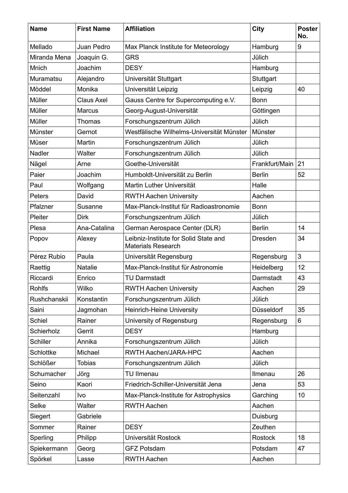| <b>Name</b>     | <b>First Name</b> | <b>Affiliation</b>                                                 | <b>City</b>    | <b>Poster</b><br>No. |
|-----------------|-------------------|--------------------------------------------------------------------|----------------|----------------------|
| Mellado         | Juan Pedro        | Max Planck Institute for Meteorology                               | Hamburg        | 9                    |
| Miranda Mena    | Joaquin G.        | <b>GRS</b>                                                         | Jülich         |                      |
| Mnich           | Joachim           | <b>DESY</b>                                                        | Hamburg        |                      |
| Muramatsu       | Alejandro         | Universität Stuttgart                                              | Stuttgart      |                      |
| Möddel          | Monika            | Universität Leipzig                                                | Leipzig        | 40                   |
| Müller          | <b>Claus Axel</b> | Gauss Centre for Supercomputing e.V.                               | Bonn           |                      |
| Müller          | <b>Marcus</b>     | Georg-August-Universität                                           | Göttingen      |                      |
| Müller          | Thomas            | Forschungszentrum Jülich                                           | Jülich         |                      |
| Münster         | Gernot            | Westfälische Wilhelms-Universität Münster                          | Münster        |                      |
| Müser           | Martin            | Forschungszentrum Jülich                                           | Jülich         |                      |
| Nadler          | Walter            | Forschungszentrum Jülich                                           | Jülich         |                      |
| Nägel           | Arne              | Goethe-Universität                                                 | Frankfurt/Main | 21                   |
| Paier           | Joachim           | Humboldt-Universität zu Berlin                                     | <b>Berlin</b>  | 52                   |
| Paul            | Wolfgang          | Martin Luther Universität                                          | Halle          |                      |
| Peters          | David             | <b>RWTH Aachen University</b>                                      | Aachen         |                      |
| Pfalzner        | Susanne           | Max-Planck-Institut für Radioastronomie                            | Bonn           |                      |
| Pleiter         | <b>Dirk</b>       | Forschungszentrum Jülich                                           | Jülich         |                      |
| Plesa           | Ana-Catalina      | German Aerospace Center (DLR)                                      | <b>Berlin</b>  | 14                   |
| Popov           | Alexey            | Leibniz-Institute for Solid State and<br><b>Materials Research</b> | <b>Dresden</b> | 34                   |
| Pérez Rubio     | Paula             | Universität Regensburg                                             | Regensburg     | 3                    |
| Raettig         | <b>Natalie</b>    | Max-Planck-Institut für Astronomie                                 | Heidelberg     | 12                   |
| Riccardi        | Enrico            | <b>TU Darmstadt</b>                                                | Darmstadt      | 43                   |
| <b>Rohlfs</b>   | Wilko             | <b>RWTH Aachen University</b>                                      | Aachen         | 29                   |
| Rushchanskii    | Konstantin        | Forschungszentrum Jülich                                           | Jülich         |                      |
| Saini           | Jagmohan          | Heinrich-Heine University                                          | Düsseldorf     | 35                   |
| <b>Schiel</b>   | Rainer            | University of Regensburg                                           | Regensburg     | 6                    |
| Schierholz      | Gerrit            | <b>DESY</b>                                                        | Hamburg        |                      |
| <b>Schiller</b> | Annika            | Forschungszentrum Jülich                                           | Jülich         |                      |
| Schlottke       | Michael           | RWTH Aachen/JARA-HPC                                               | Aachen         |                      |
| Schlößer        | <b>Tobias</b>     | Forschungszentrum Jülich                                           | Jülich         |                      |
| Schumacher      | Jörg              | <b>TU Ilmenau</b>                                                  | Ilmenau        | 26                   |
| Seino           | Kaori             | Friedrich-Schiller-Universität Jena                                | Jena           | 53                   |
| Seitenzahl      | Ivo               | Max-Planck-Institute for Astrophysics                              | Garching       | 10                   |
| Selke           | Walter            | <b>RWTH Aachen</b>                                                 | Aachen         |                      |
| Siegert         | Gabriele          |                                                                    | Duisburg       |                      |
| Sommer          | Rainer            | <b>DESY</b>                                                        | Zeuthen        |                      |
| Sperling        | Philipp           | Universität Rostock                                                | Rostock        | 18                   |
| Spiekermann     | Georg             | <b>GFZ Potsdam</b>                                                 | Potsdam        | 47                   |
| Spörkel         | Lasse             | <b>RWTH Aachen</b>                                                 | Aachen         |                      |